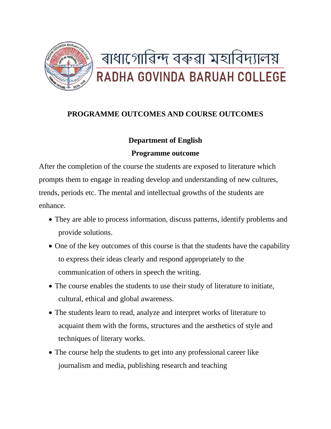

# **PROGRAMME OUTCOMES AND COURSE OUTCOMES**

## **Department of English**

## **Programme outcome**

After the completion of the course the students are exposed to literature which prompts them to engage in reading develop and understanding of new cultures, trends, periods etc. The mental and intellectual growths of the students are enhance.

- They are able to process information, discuss patterns, identify problems and provide solutions.
- One of the key outcomes of this course is that the students have the capability to express their ideas clearly and respond appropriately to the communication of others in speech the writing.
- The course enables the students to use their study of literature to initiate, cultural, ethical and global awareness.
- The students learn to read, analyze and interpret works of literature to acquaint them with the forms, structures and the aesthetics of style and techniques of literary works.
- The course help the students to get into any professional career like journalism and media, publishing research and teaching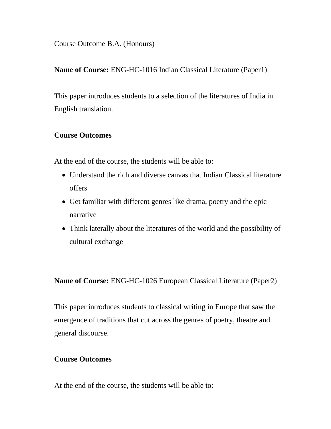Course Outcome B.A. (Honours)

**Name of Course:** ENG-HC-1016 Indian Classical Literature (Paper1)

This paper introduces students to a selection of the literatures of India in English translation.

#### **Course Outcomes**

At the end of the course, the students will be able to:

- Understand the rich and diverse canvas that Indian Classical literature offers
- Get familiar with different genres like drama, poetry and the epic narrative
- Think laterally about the literatures of the world and the possibility of cultural exchange

**Name of Course:** ENG-HC-1026 European Classical Literature (Paper2)

This paper introduces students to classical writing in Europe that saw the emergence of traditions that cut across the genres of poetry, theatre and general discourse.

#### **Course Outcomes**

At the end of the course, the students will be able to: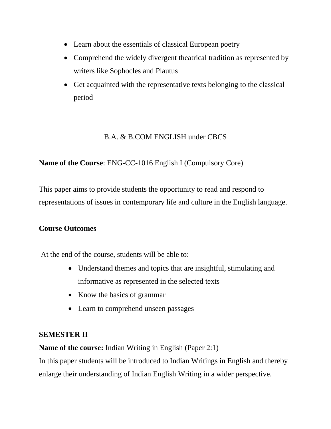- Learn about the essentials of classical European poetry
- Comprehend the widely divergent theatrical tradition as represented by writers like Sophocles and Plautus
- Get acquainted with the representative texts belonging to the classical period

## B.A. & B.COM ENGLISH under CBCS

## **Name of the Course**: ENG-CC-1016 English I (Compulsory Core)

This paper aims to provide students the opportunity to read and respond to representations of issues in contemporary life and culture in the English language.

## **Course Outcomes**

At the end of the course, students will be able to:

- Understand themes and topics that are insightful, stimulating and informative as represented in the selected texts
- Know the basics of grammar
- Learn to comprehend unseen passages

# **SEMESTER II**

**Name of the course:** Indian Writing in English (Paper 2:1)

In this paper students will be introduced to Indian Writings in English and thereby enlarge their understanding of Indian English Writing in a wider perspective.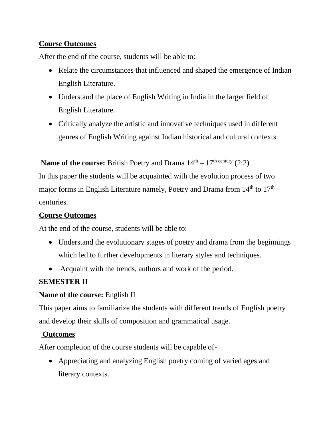## **Course Outcomes**

After the end of the course, students will be able to:

- Relate the circumstances that influenced and shaped the emergence of Indian English Literature.
- Understand the place of English Writing in India in the larger field of English Literature.
- Critically analyze the artistic and innovative techniques used in different genres of English Writing against Indian historical and cultural contexts.

#### **Name of the course:** British Poetry and Drama  $14<sup>th</sup> - 17<sup>th</sup>$  century (2:2)

In this paper the students will be acquainted with the evolution process of two major forms in English Literature namely, Poetry and Drama from 14<sup>th</sup> to 17<sup>th</sup> centuries.

#### **Course Outcomes**

At the end of the course, students will be able to:

- Understand the evolutionary stages of poetry and drama from the beginnings which led to further developments in literary styles and techniques.
- Acquaint with the trends, authors and work of the period.

## **SEMESTER II**

## **Name of the course:** English II

This paper aims to familiarize the students with different trends of English poetry and develop their skills of composition and grammatical usage.

## **Outcomes**

After completion of the course students will be capable of-

• Appreciating and analyzing English poetry coming of varied ages and literary contexts.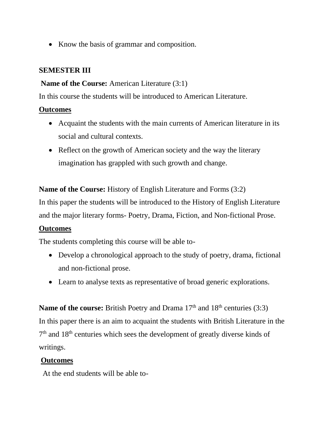• Know the basis of grammar and composition.

#### **SEMESTER III**

#### **Name of the Course:** American Literature (3:1)

In this course the students will be introduced to American Literature.

#### **Outcomes**

- Acquaint the students with the main currents of American literature in its social and cultural contexts.
- Reflect on the growth of American society and the way the literary imagination has grappled with such growth and change.

**Name of the Course:** History of English Literature and Forms (3:2)

In this paper the students will be introduced to the History of English Literature and the major literary forms- Poetry, Drama, Fiction, and Non-fictional Prose.

## **Outcomes**

The students completing this course will be able to-

- Develop a chronological approach to the study of poetry, drama, fictional and non-fictional prose.
- Learn to analyse texts as representative of broad generic explorations.

**Name of the course:** British Poetry and Drama 17<sup>th</sup> and 18<sup>th</sup> centuries (3:3) In this paper there is an aim to acquaint the students with British Literature in the 7<sup>th</sup> and 18<sup>th</sup> centuries which sees the development of greatly diverse kinds of writings.

## **Outcomes**

At the end students will be able to-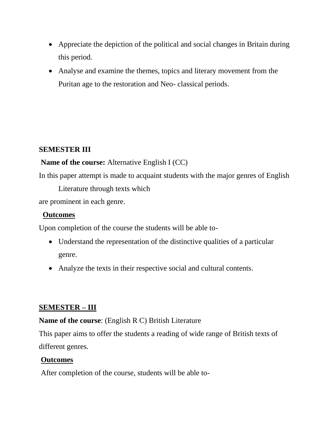- Appreciate the depiction of the political and social changes in Britain during this period.
- Analyse and examine the themes, topics and literary movement from the Puritan age to the restoration and Neo- classical periods.

## **SEMESTER III**

## **Name of the course:** Alternative English I (CC)

In this paper attempt is made to acquaint students with the major genres of English

Literature through texts which

are prominent in each genre.

## **Outcomes**

Upon completion of the course the students will be able to-

- Understand the representation of the distinctive qualities of a particular genre.
- Analyze the texts in their respective social and cultural contents.

# **SEMESTER – III**

## **Name of the course**: (English R C) British Literature

This paper aims to offer the students a reading of wide range of British texts of different genres.

# **Outcomes**

After completion of the course, students will be able to-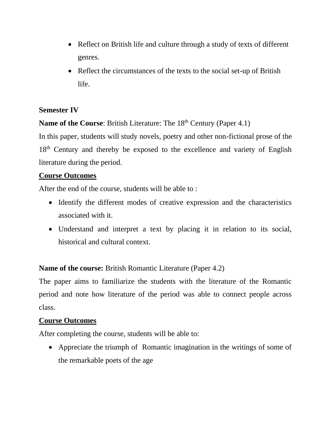- Reflect on British life and culture through a study of texts of different genres.
- Reflect the circumstances of the texts to the social set-up of British life.

## **Semester IV**

**Name of the Course:** British Literature: The 18<sup>th</sup> Century (Paper 4.1)

In this paper, students will study novels, poetry and other non-fictional prose of the 18<sup>th</sup> Century and thereby be exposed to the excellence and variety of English literature during the period.

#### **Course Outcomes**

After the end of the course, students will be able to :

- Identify the different modes of creative expression and the characteristics associated with it.
- Understand and interpret a text by placing it in relation to its social, historical and cultural context.

**Name of the course:** British Romantic Literature (Paper 4.2)

The paper aims to familiarize the students with the literature of the Romantic period and note how literature of the period was able to connect people across class.

#### **Course Outcomes**

After completing the course, students will be able to:

• Appreciate the triumph of Romantic imagination in the writings of some of the remarkable poets of the age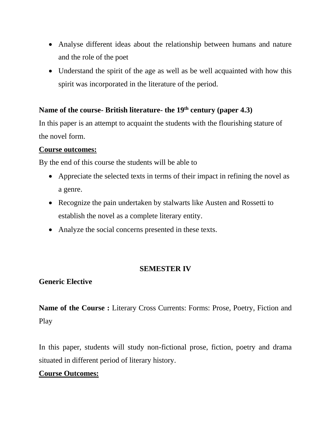- Analyse different ideas about the relationship between humans and nature and the role of the poet
- Understand the spirit of the age as well as be well acquainted with how this spirit was incorporated in the literature of the period.

# **Name of the course- British literature- the 19th century (paper 4.3)**

In this paper is an attempt to acquaint the students with the flourishing stature of the novel form.

#### **Course outcomes:**

By the end of this course the students will be able to

- Appreciate the selected texts in terms of their impact in refining the novel as a genre.
- Recognize the pain undertaken by stalwarts like Austen and Rossetti to establish the novel as a complete literary entity.
- Analyze the social concerns presented in these texts.

#### **SEMESTER IV**

#### **Generic Elective**

**Name of the Course :** Literary Cross Currents: Forms: Prose, Poetry, Fiction and Play

In this paper, students will study non-fictional prose, fiction, poetry and drama situated in different period of literary history.

## **Course Outcomes:**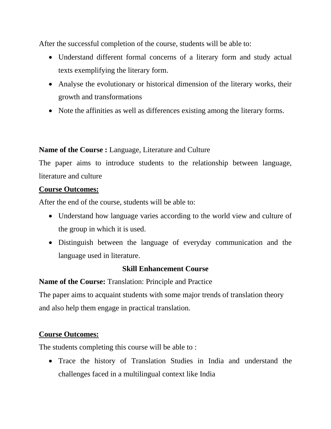After the successful completion of the course, students will be able to:

- Understand different formal concerns of a literary form and study actual texts exemplifying the literary form.
- Analyse the evolutionary or historical dimension of the literary works, their growth and transformations
- Note the affinities as well as differences existing among the literary forms.

**Name of the Course :** Language, Literature and Culture

The paper aims to introduce students to the relationship between language, literature and culture

## **Course Outcomes:**

After the end of the course, students will be able to:

- Understand how language varies according to the world view and culture of the group in which it is used.
- Distinguish between the language of everyday communication and the language used in literature.

## **Skill Enhancement Course**

**Name of the Course:** Translation: Principle and Practice

The paper aims to acquaint students with some major trends of translation theory and also help them engage in practical translation.

## **Course Outcomes:**

The students completing this course will be able to :

• Trace the history of Translation Studies in India and understand the challenges faced in a multilingual context like India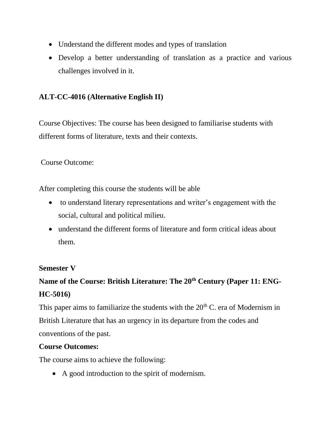- Understand the different modes and types of translation
- Develop a better understanding of translation as a practice and various challenges involved in it.

# **ALT-CC-4016 (Alternative English II)**

Course Objectives: The course has been designed to familiarise students with different forms of literature, texts and their contexts.

Course Outcome:

After completing this course the students will be able

- to understand literary representations and writer's engagement with the social, cultural and political milieu.
- understand the different forms of literature and form critical ideas about them.

#### **Semester V**

# **Name of the Course: British Literature: The 20th Century (Paper 11: ENG-HC-5016)**

This paper aims to familiarize the students with the  $20<sup>th</sup>$  C. era of Modernism in British Literature that has an urgency in its departure from the codes and conventions of the past.

#### **Course Outcomes:**

The course aims to achieve the following:

• A good introduction to the spirit of modernism.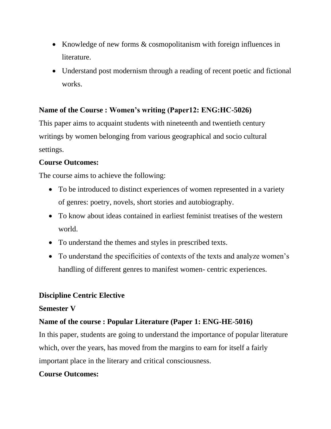- Knowledge of new forms & cosmopolitanism with foreign influences in literature.
- Understand post modernism through a reading of recent poetic and fictional works.

## **Name of the Course : Women's writing (Paper12: ENG:HC-5026)**

This paper aims to acquaint students with nineteenth and twentieth century writings by women belonging from various geographical and socio cultural settings.

## **Course Outcomes:**

The course aims to achieve the following:

- To be introduced to distinct experiences of women represented in a variety of genres: poetry, novels, short stories and autobiography.
- To know about ideas contained in earliest feminist treatises of the western world.
- To understand the themes and styles in prescribed texts.
- To understand the specificities of contexts of the texts and analyze women's handling of different genres to manifest women- centric experiences.

## **Discipline Centric Elective**

#### **Semester V**

# **Name of the course : Popular Literature (Paper 1: ENG-HE-5016)**

In this paper, students are going to understand the importance of popular literature which, over the years, has moved from the margins to earn for itself a fairly important place in the literary and critical consciousness.

# **Course Outcomes:**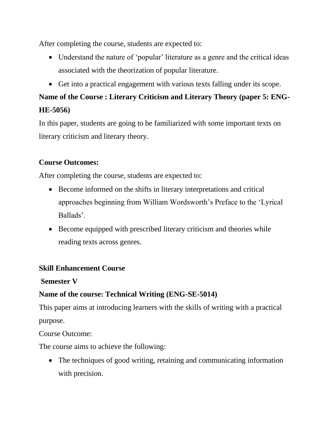After completing the course, students are expected to:

- Understand the nature of 'popular' literature as a genre and the critical ideas associated with the theorization of popular literature.
- Get into a practical engagement with various texts falling under its scope.

# **Name of the Course : Literary Criticism and Literary Theory (paper 5: ENG-HE-5056)**

In this paper, students are going to be familiarized with some important texts on literary criticism and literary theory.

# **Course Outcomes:**

After completing the course, students are expected to:

- Become informed on the shifts in literary interpretations and critical approaches beginning from William Wordsworth's Preface to the 'Lyrical Ballads'.
- Become equipped with prescribed literary criticism and theories while reading texts across genres.

# **Skill Enhancement Course**

## **Semester V**

# **Name of the course: Technical Writing (ENG-SE-5014)**

This paper aims at introducing learners with the skills of writing with a practical purpose.

Course Outcome:

The course aims to achieve the following:

• The techniques of good writing, retaining and communicating information with precision.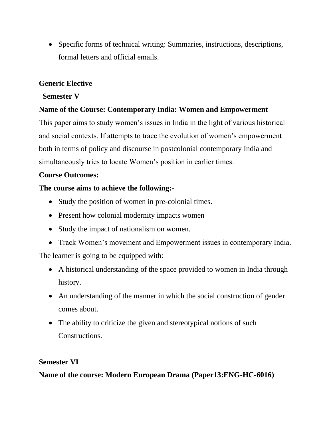• Specific forms of technical writing: Summaries, instructions, descriptions, formal letters and official emails.

## **Generic Elective**

#### **Semester V**

## **Name of the Course: Contemporary India: Women and Empowerment**

This paper aims to study women's issues in India in the light of various historical and social contexts. If attempts to trace the evolution of women's empowerment both in terms of policy and discourse in postcolonial contemporary India and simultaneously tries to locate Women's position in earlier times.

## **Course Outcomes:**

## **The course aims to achieve the following:-**

- Study the position of women in pre-colonial times.
- Present how colonial modernity impacts women
- Study the impact of nationalism on women.
- Track Women's movement and Empowerment issues in contemporary India.

The learner is going to be equipped with:

- A historical understanding of the space provided to women in India through history.
- An understanding of the manner in which the social construction of gender comes about.
- The ability to criticize the given and stereotypical notions of such Constructions.

## **Semester VI**

**Name of the course: Modern European Drama (Paper13:ENG-HC-6016)**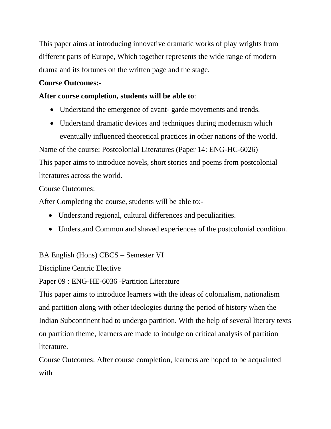This paper aims at introducing innovative dramatic works of play wrights from different parts of Europe, Which together represents the wide range of modern drama and its fortunes on the written page and the stage.

#### **Course Outcomes:-**

#### **After course completion, students will be able to**:

- Understand the emergence of avant-garde movements and trends.
- Understand dramatic devices and techniques during modernism which eventually influenced theoretical practices in other nations of the world.

Name of the course: Postcolonial Literatures (Paper 14: ENG-HC-6026) This paper aims to introduce novels, short stories and poems from postcolonial literatures across the world.

#### Course Outcomes:

After Completing the course, students will be able to:-

- Understand regional, cultural differences and peculiarities.
- Understand Common and shaved experiences of the postcolonial condition.

BA English (Hons) CBCS – Semester VI

Discipline Centric Elective

Paper 09 : ENG-HE-6036 -Partition Literature

This paper aims to introduce learners with the ideas of colonialism, nationalism and partition along with other ideologies during the period of history when the Indian Subcontinent had to undergo partition. With the help of several literary texts on partition theme, learners are made to indulge on critical analysis of partition literature.

Course Outcomes: After course completion, learners are hoped to be acquainted with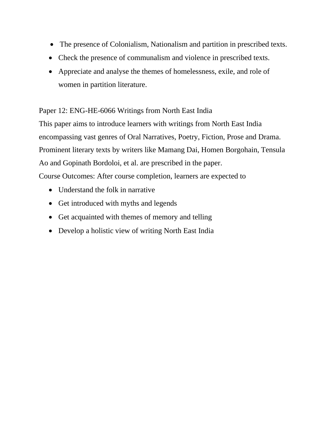- The presence of Colonialism, Nationalism and partition in prescribed texts.
- Check the presence of communalism and violence in prescribed texts.
- Appreciate and analyse the themes of homelessness, exile, and role of women in partition literature.

#### Paper 12: ENG-HE-6066 Writings from North East India

This paper aims to introduce learners with writings from North East India encompassing vast genres of Oral Narratives, Poetry, Fiction, Prose and Drama. Prominent literary texts by writers like Mamang Dai, Homen Borgohain, Tensula Ao and Gopinath Bordoloi, et al. are prescribed in the paper. Course Outcomes: After course completion, learners are expected to

- Understand the folk in narrative
- Get introduced with myths and legends
- Get acquainted with themes of memory and telling
- Develop a holistic view of writing North East India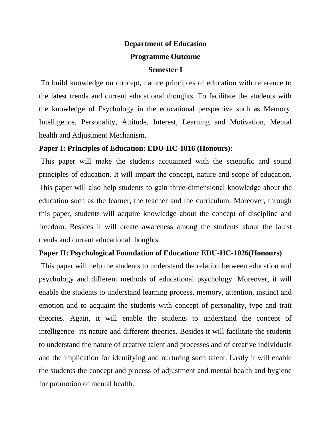# **Department of Education Programme Outcome**

# **Semester I**

To build knowledge on concept, nature principles of education with reference to the latest trends and current educational thoughts. To facilitate the students with the knowledge of Psychology in the educational perspective such as Memory, Intelligence, Personality, Attitude, Interest, Learning and Motivation, Mental health and Adjustment Mechanism.

#### **Paper I: Principles of Education: EDU-HC-1016 (Honours):**

This paper will make the students acquainted with the scientific and sound principles of education. It will impart the concept, nature and scope of education. This paper will also help students to gain three-dimensional knowledge about the education such as the learner, the teacher and the curriculum. Moreover, through this paper, students will acquire knowledge about the concept of discipline and freedom. Besides it will create awareness among the students about the latest trends and current educational thoughts.

## **Paper II: Psychological Foundation of Education: EDU-HC-1026(Honours)**

This paper will help the students to understand the relation between education and psychology and different methods of educational psychology. Moreover, it will enable the students to understand learning process, memory, attention, instinct and emotion and to acquaint the students with concept of personality, type and trait theories. Again, it will enable the students to understand the concept of intelligence- its nature and different theories. Besides it will facilitate the students to understand the nature of creative talent and processes and of creative individuals and the implication for identifying and nurturing such talent. Lastly it will enable the students the concept and process of adjustment and mental health and hygiene for promotion of mental health.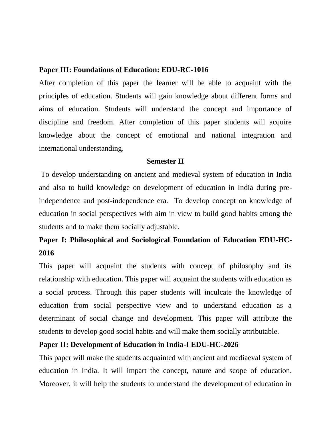#### **Paper III: Foundations of Education: EDU-RC-1016**

After completion of this paper the learner will be able to acquaint with the principles of education. Students will gain knowledge about different forms and aims of education. Students will understand the concept and importance of discipline and freedom. After completion of this paper students will acquire knowledge about the concept of emotional and national integration and international understanding.

#### **Semester II**

To develop understanding on ancient and medieval system of education in India and also to build knowledge on development of education in India during preindependence and post-independence era. To develop concept on knowledge of education in social perspectives with aim in view to build good habits among the students and to make them socially adjustable.

# **Paper I: Philosophical and Sociological Foundation of Education EDU-HC-2016**

This paper will acquaint the students with concept of philosophy and its relationship with education. This paper will acquaint the students with education as a social process. Through this paper students will inculcate the knowledge of education from social perspective view and to understand education as a determinant of social change and development. This paper will attribute the students to develop good social habits and will make them socially attributable.

#### **Paper II: Development of Education in India-I EDU-HC-2026**

This paper will make the students acquainted with ancient and mediaeval system of education in India. It will impart the concept, nature and scope of education. Moreover, it will help the students to understand the development of education in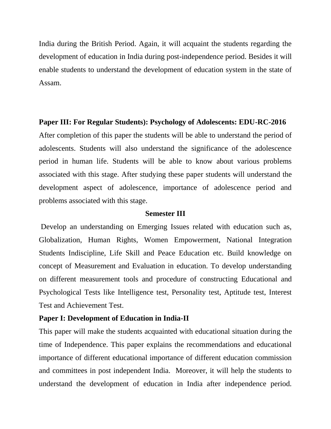India during the British Period. Again, it will acquaint the students regarding the development of education in India during post-independence period. Besides it will enable students to understand the development of education system in the state of Assam.

#### **Paper III: For Regular Students): Psychology of Adolescents: EDU-RC-2016**

After completion of this paper the students will be able to understand the period of adolescents. Students will also understand the significance of the adolescence period in human life. Students will be able to know about various problems associated with this stage. After studying these paper students will understand the development aspect of adolescence, importance of adolescence period and problems associated with this stage.

#### **Semester III**

Develop an understanding on Emerging Issues related with education such as, Globalization, Human Rights, Women Empowerment, National Integration Students Indiscipline, Life Skill and Peace Education etc. Build knowledge on concept of Measurement and Evaluation in education. To develop understanding on different measurement tools and procedure of constructing Educational and Psychological Tests like Intelligence test, Personality test, Aptitude test, Interest Test and Achievement Test.

#### **Paper I: Development of Education in India-II**

This paper will make the students acquainted with educational situation during the time of Independence. This paper explains the recommendations and educational importance of different educational importance of different education commission and committees in post independent India. Moreover, it will help the students to understand the development of education in India after independence period.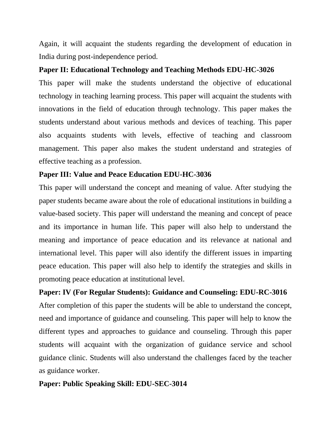Again, it will acquaint the students regarding the development of education in India during post-independence period.

#### **Paper II: Educational Technology and Teaching Methods EDU-HC-3026**

This paper will make the students understand the objective of educational technology in teaching learning process. This paper will acquaint the students with innovations in the field of education through technology. This paper makes the students understand about various methods and devices of teaching. This paper also acquaints students with levels, effective of teaching and classroom management. This paper also makes the student understand and strategies of effective teaching as a profession.

#### **Paper III: Value and Peace Education EDU-HC-3036**

This paper will understand the concept and meaning of value. After studying the paper students became aware about the role of educational institutions in building a value-based society. This paper will understand the meaning and concept of peace and its importance in human life. This paper will also help to understand the meaning and importance of peace education and its relevance at national and international level. This paper will also identify the different issues in imparting peace education. This paper will also help to identify the strategies and skills in promoting peace education at institutional level.

## **Paper: IV (For Regular Students): Guidance and Counseling: EDU-RC-3016**

After completion of this paper the students will be able to understand the concept, need and importance of guidance and counseling. This paper will help to know the different types and approaches to guidance and counseling. Through this paper students will acquaint with the organization of guidance service and school guidance clinic. Students will also understand the challenges faced by the teacher as guidance worker.

## **Paper: Public Speaking Skill: EDU-SEC-3014**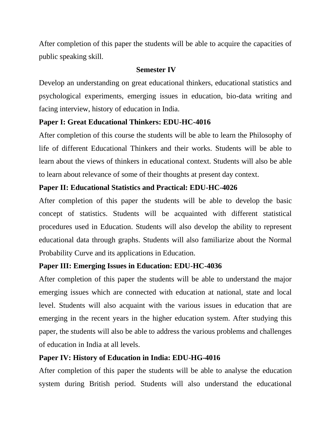After completion of this paper the students will be able to acquire the capacities of public speaking skill.

#### **Semester IV**

Develop an understanding on great educational thinkers, educational statistics and psychological experiments, emerging issues in education, bio-data writing and facing interview, history of education in India.

## **Paper I: Great Educational Thinkers: EDU-HC-4016**

After completion of this course the students will be able to learn the Philosophy of life of different Educational Thinkers and their works. Students will be able to learn about the views of thinkers in educational context. Students will also be able to learn about relevance of some of their thoughts at present day context.

## **Paper II: Educational Statistics and Practical: EDU-HC-4026**

After completion of this paper the students will be able to develop the basic concept of statistics. Students will be acquainted with different statistical procedures used in Education. Students will also develop the ability to represent educational data through graphs. Students will also familiarize about the Normal Probability Curve and its applications in Education.

# **Paper III: Emerging Issues in Education: EDU-HC-4036**

After completion of this paper the students will be able to understand the major emerging issues which are connected with education at national, state and local level. Students will also acquaint with the various issues in education that are emerging in the recent years in the higher education system. After studying this paper, the students will also be able to address the various problems and challenges of education in India at all levels.

# **Paper IV: History of Education in India: EDU-HG-4016**

After completion of this paper the students will be able to analyse the education system during British period. Students will also understand the educational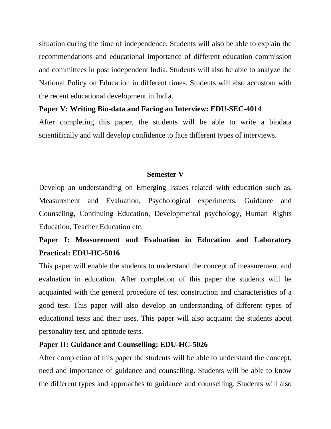situation during the time of independence. Students will also be able to explain the recommendations and educational importance of different education commission and committees in post independent India. Students will also be able to analyze the National Policy on Education in different times. Students will also accustom with the recent educational development in India.

#### **Paper V: Writing Bio-data and Facing an Interview: EDU-SEC-4014**

After completing this paper, the students will be able to write a biodata scientifically and will develop confidence to face different types of interviews.

#### **Semester V**

Develop an understanding on Emerging Issues related with education such as, Measurement and Evaluation, Psychological experiments, Guidance and Counseling, Continuing Education, Developmental psychology, Human Rights Education, Teacher Education etc.

# **Paper I: Measurement and Evaluation in Education and Laboratory Practical: EDU-HC-5016**

This paper will enable the students to understand the concept of measurement and evaluation in education. After completion of this paper the students will be acquainted with the general procedure of test construction and characteristics of a good test. This paper will also develop an understanding of different types of educational tests and their uses. This paper will also acquaint the students about personality test, and aptitude tests.

#### **Paper II: Guidance and Counselling: EDU-HC-5026**

After completion of this paper the students will be able to understand the concept, need and importance of guidance and counselling. Students will be able to know the different types and approaches to guidance and counselling. Students will also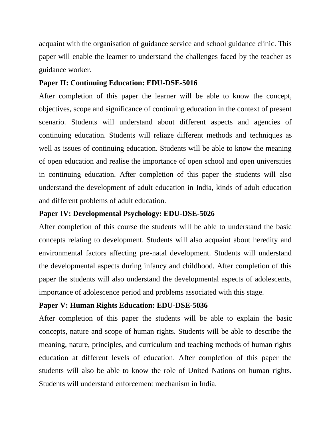acquaint with the organisation of guidance service and school guidance clinic. This paper will enable the learner to understand the challenges faced by the teacher as guidance worker.

#### **Paper II: Continuing Education: EDU-DSE-5016**

After completion of this paper the learner will be able to know the concept, objectives, scope and significance of continuing education in the context of present scenario. Students will understand about different aspects and agencies of continuing education. Students will reliaze different methods and techniques as well as issues of continuing education. Students will be able to know the meaning of open education and realise the importance of open school and open universities in continuing education. After completion of this paper the students will also understand the development of adult education in India, kinds of adult education and different problems of adult education.

## **Paper IV: Developmental Psychology: EDU-DSE-5026**

After completion of this course the students will be able to understand the basic concepts relating to development. Students will also acquaint about heredity and environmental factors affecting pre-natal development. Students will understand the developmental aspects during infancy and childhood. After completion of this paper the students will also understand the developmental aspects of adolescents, importance of adolescence period and problems associated with this stage.

#### **Paper V: Human Rights Education: EDU-DSE-5036**

After completion of this paper the students will be able to explain the basic concepts, nature and scope of human rights. Students will be able to describe the meaning, nature, principles, and curriculum and teaching methods of human rights education at different levels of education. After completion of this paper the students will also be able to know the role of United Nations on human rights. Students will understand enforcement mechanism in India.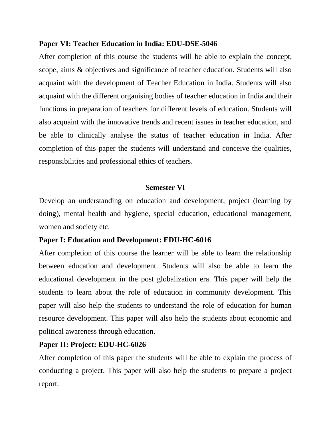#### **Paper VI: Teacher Education in India: EDU-DSE-5046**

After completion of this course the students will be able to explain the concept, scope, aims & objectives and significance of teacher education. Students will also acquaint with the development of Teacher Education in India. Students will also acquaint with the different organising bodies of teacher education in India and their functions in preparation of teachers for different levels of education. Students will also acquaint with the innovative trends and recent issues in teacher education, and be able to clinically analyse the status of teacher education in India. After completion of this paper the students will understand and conceive the qualities, responsibilities and professional ethics of teachers.

#### **Semester VI**

Develop an understanding on education and development, project (learning by doing), mental health and hygiene, special education, educational management, women and society etc.

#### **Paper I: Education and Development: EDU-HC-6016**

After completion of this course the learner will be able to learn the relationship between education and development. Students will also be able to learn the educational development in the post globalization era. This paper will help the students to learn about the role of education in community development. This paper will also help the students to understand the role of education for human resource development. This paper will also help the students about economic and political awareness through education.

#### **Paper II: Project: EDU-HC-6026**

After completion of this paper the students will be able to explain the process of conducting a project. This paper will also help the students to prepare a project report.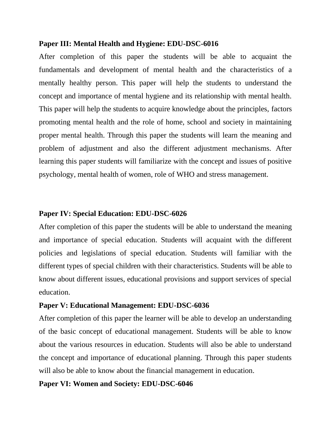#### **Paper III: Mental Health and Hygiene: EDU-DSC-6016**

After completion of this paper the students will be able to acquaint the fundamentals and development of mental health and the characteristics of a mentally healthy person. This paper will help the students to understand the concept and importance of mental hygiene and its relationship with mental health. This paper will help the students to acquire knowledge about the principles, factors promoting mental health and the role of home, school and society in maintaining proper mental health. Through this paper the students will learn the meaning and problem of adjustment and also the different adjustment mechanisms. After learning this paper students will familiarize with the concept and issues of positive psychology, mental health of women, role of WHO and stress management.

#### **Paper IV: Special Education: EDU-DSC-6026**

After completion of this paper the students will be able to understand the meaning and importance of special education. Students will acquaint with the different policies and legislations of special education. Students will familiar with the different types of special children with their characteristics. Students will be able to know about different issues, educational provisions and support services of special education.

#### **Paper V: Educational Management: EDU-DSC-6036**

After completion of this paper the learner will be able to develop an understanding of the basic concept of educational management. Students will be able to know about the various resources in education. Students will also be able to understand the concept and importance of educational planning. Through this paper students will also be able to know about the financial management in education.

#### **Paper VI: Women and Society: EDU-DSC-6046**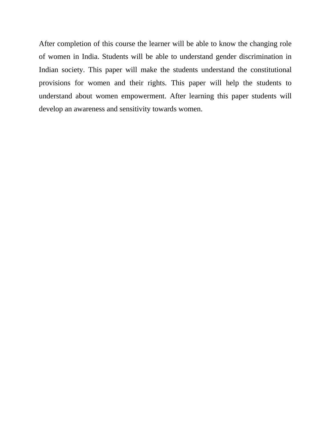After completion of this course the learner will be able to know the changing role of women in India. Students will be able to understand gender discrimination in Indian society. This paper will make the students understand the constitutional provisions for women and their rights. This paper will help the students to understand about women empowerment. After learning this paper students will develop an awareness and sensitivity towards women.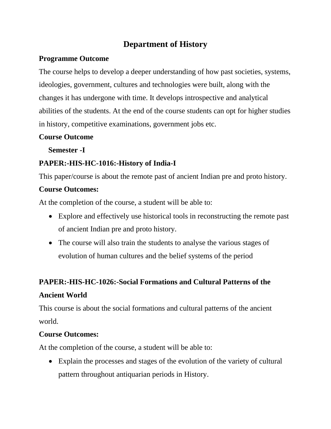# **Department of History**

#### **Programme Outcome**

The course helps to develop a deeper understanding of how past societies, systems, ideologies, government, cultures and technologies were built, along with the changes it has undergone with time. It develops introspective and analytical abilities of the students. At the end of the course students can opt for higher studies in history, competitive examinations, government jobs etc.

#### **Course Outcome**

 **Semester -I**

# **PAPER:-HIS-HC-1016:-History of India-I**

This paper/course is about the remote past of ancient Indian pre and proto history.

## **Course Outcomes:**

At the completion of the course, a student will be able to:

- Explore and effectively use historical tools in reconstructing the remote past of ancient Indian pre and proto history.
- The course will also train the students to analyse the various stages of evolution of human cultures and the belief systems of the period

## **PAPER:-HIS-HC-1026:-Social Formations and Cultural Patterns of the**

## **Ancient World**

This course is about the social formations and cultural patterns of the ancient world.

## **Course Outcomes:**

At the completion of the course, a student will be able to:

• Explain the processes and stages of the evolution of the variety of cultural pattern throughout antiquarian periods in History.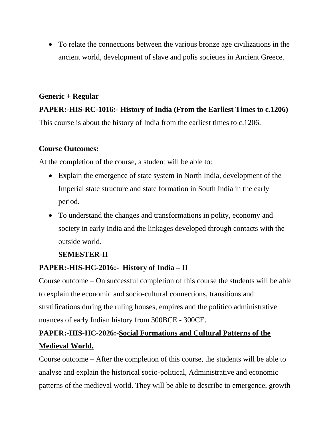• To relate the connections between the various bronze age civilizations in the ancient world, development of slave and polis societies in Ancient Greece.

# **Generic + Regular**

# **PAPER:-HIS-RC-1016:- History of India (From the Earliest Times to c.1206)** This course is about the history of India from the earliest times to c.1206.

## **Course Outcomes:**

At the completion of the course, a student will be able to:

- Explain the emergence of state system in North India, development of the Imperial state structure and state formation in South India in the early period.
- To understand the changes and transformations in polity, economy and society in early India and the linkages developed through contacts with the outside world.

## **SEMESTER-II**

## **PAPER:-HIS-HC-2016:- History of India – II**

Course outcome – On successful completion of this course the students will be able to explain the economic and socio-cultural connections, transitions and stratifications during the ruling houses, empires and the politico administrative nuances of early Indian history from 300BCE - 300CE.

# **PAPER:-HIS-HC-2026:-Social Formations and Cultural Patterns of the Medieval World.**

Course outcome – After the completion of this course, the students will be able to analyse and explain the historical socio-political, Administrative and economic patterns of the medieval world. They will be able to describe to emergence, growth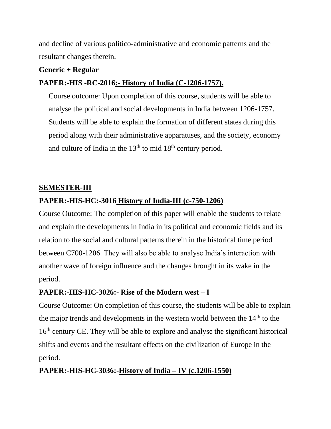and decline of various politico-administrative and economic patterns and the resultant changes therein.

#### **Generic + Regular**

# **PAPER:-HIS -RC-2016:- History of India (C-1206-1757).**

Course outcome: Upon completion of this course, students will be able to analyse the political and social developments in India between 1206-1757. Students will be able to explain the formation of different states during this period along with their administrative apparatuses, and the society, economy and culture of India in the  $13<sup>th</sup>$  to mid  $18<sup>th</sup>$  century period.

#### **SEMESTER-III**

## **PAPER:-HIS-HC:-3016 History of India-III (c-750-1206)**

Course Outcome: The completion of this paper will enable the students to relate and explain the developments in India in its political and economic fields and its relation to the social and cultural patterns therein in the historical time period between C700-1206. They will also be able to analyse India's interaction with another wave of foreign influence and the changes brought in its wake in the period.

## **PAPER:-HIS-HC-3026:- Rise of the Modern west – I**

Course Outcome: On completion of this course, the students will be able to explain the major trends and developments in the western world between the  $14<sup>th</sup>$  to the 16<sup>th</sup> century CE. They will be able to explore and analyse the significant historical shifts and events and the resultant effects on the civilization of Europe in the period.

## **PAPER:-HIS-HC-3036:-History of India – IV (c.1206-1550)**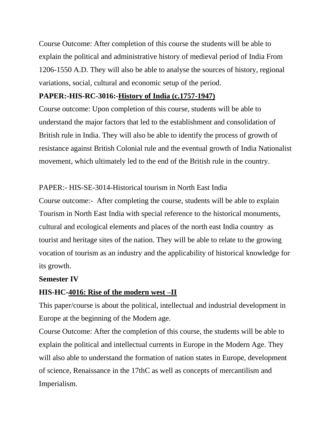Course Outcome: After completion of this course the students will be able to explain the political and administrative history of medieval period of India From 1206-1550 A.D. They will also be able to analyse the sources of history, regional variations, social, cultural and economic setup of the period.

#### **PAPER:-HIS-RC-3016:-History of India (c.1757-1947)**

Course outcome: Upon completion of this course, students will be able to understand the major factors that led to the establishment and consolidation of British rule in India. They will also be able to identify the process of growth of resistance against British Colonial rule and the eventual growth of India Nationalist movement, which ultimately led to the end of the British rule in the country.

#### PAPER:- HIS-SE-3014-Historical tourism in North East India

Course outcome:- After completing the course, students will be able to explain Tourism in North East India with special reference to the historical monuments, cultural and ecological elements and places of the north east India country as tourist and heritage sites of the nation. They will be able to relate to the growing vocation of tourism as an industry and the applicability of historical knowledge for its growth.

#### **Semester IV**

#### **HIS-HC-4016: Rise of the modern west –II**

This paper/course is about the political, intellectual and industrial development in Europe at the beginning of the Modern age.

Course Outcome: After the completion of this course, the students will be able to explain the political and intellectual currents in Europe in the Modern Age. They will also able to understand the formation of nation states in Europe, development of science, Renaissance in the 17thC as well as concepts of mercantilism and Imperialism.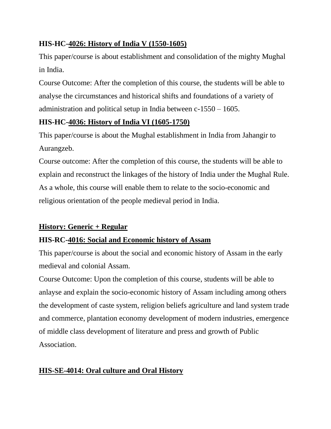# **HIS-HC-4026: History of India V (1550-1605)**

This paper/course is about establishment and consolidation of the mighty Mughal in India.

Course Outcome: After the completion of this course, the students will be able to analyse the circumstances and historical shifts and foundations of a variety of administration and political setup in India between c-1550 – 1605.

# **HIS-HC-4036: History of India VI (1605-1750)**

This paper/course is about the Mughal establishment in India from Jahangir to Aurangzeb.

Course outcome: After the completion of this course, the students will be able to explain and reconstruct the linkages of the history of India under the Mughal Rule. As a whole, this course will enable them to relate to the socio-economic and religious orientation of the people medieval period in India.

# **History: Generic + Regular**

# **HIS-RC-4016: Social and Economic history of Assam**

This paper/course is about the social and economic history of Assam in the early medieval and colonial Assam.

Course Outcome: Upon the completion of this course, students will be able to anlayse and explain the socio-economic history of Assam including among others the development of caste system, religion beliefs agriculture and land system trade and commerce, plantation economy development of modern industries, emergence of middle class development of literature and press and growth of Public Association.

# **HIS-SE-4014: Oral culture and Oral History**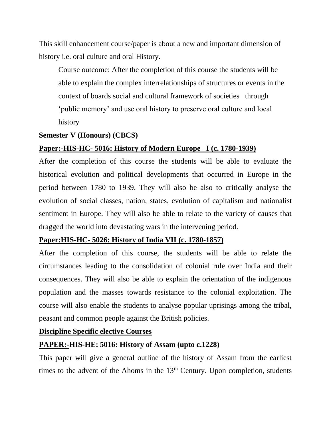This skill enhancement course/paper is about a new and important dimension of history i.e. oral culture and oral History.

Course outcome: After the completion of this course the students will be able to explain the complex interrelationships of structures or events in the context of boards social and cultural framework of societies through 'public memory' and use oral history to preserve oral culture and local history

#### **Semester V (Honours) (CBCS)**

#### **Paper:-HIS-HC- 5016: History of Modern Europe –I (c. 1780-1939)**

After the completion of this course the students will be able to evaluate the historical evolution and political developments that occurred in Europe in the period between 1780 to 1939. They will also be also to critically analyse the evolution of social classes, nation, states, evolution of capitalism and nationalist sentiment in Europe. They will also be able to relate to the variety of causes that dragged the world into devastating wars in the intervening period.

#### **Paper:HIS-HC- 5026: History of India VII (c. 1780-1857)**

After the completion of this course, the students will be able to relate the circumstances leading to the consolidation of colonial rule over India and their consequences. They will also be able to explain the orientation of the indigenous population and the masses towards resistance to the colonial exploitation. The course will also enable the students to analyse popular uprisings among the tribal, peasant and common people against the British policies.

#### **Discipline Specific elective Courses**

#### **PAPER:-HIS-HE: 5016: History of Assam (upto c.1228)**

This paper will give a general outline of the history of Assam from the earliest times to the advent of the Ahoms in the  $13<sup>th</sup>$  Century. Upon completion, students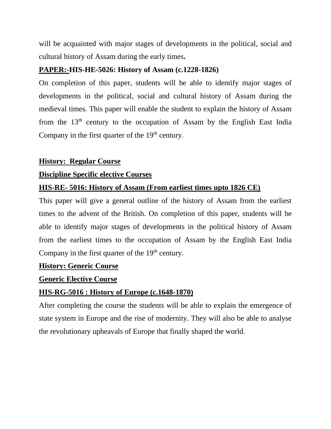will be acquainted with major stages of developments in the political, social and cultural history of Assam during the early times**.**

## **PAPER:-HIS-HE-5026: History of Assam (c.1228-1826)**

On completion of this paper, students will be able to identify major stages of developments in the political, social and cultural history of Assam during the medieval times. This paper will enable the student to explain the history of Assam from the  $13<sup>th</sup>$  century to the occupation of Assam by the English East India Company in the first quarter of the  $19<sup>th</sup>$  century.

#### **History: Regular Course**

#### **Discipline Specific elective Courses**

## **HIS-RE- 5016: History of Assam (From earliest times upto 1826 CE)**

This paper will give a general outline of the history of Assam from the earliest times to the advent of the British. On completion of this paper, students will be able to identify major stages of developments in the political history of Assam from the earliest times to the occupation of Assam by the English East India Company in the first quarter of the  $19<sup>th</sup>$  century.

## **History: Generic Course**

## **Generic Elective Course**

#### **HIS-RG-5016 : History of Europe (c.1648-1870)**

After completing the course the students will be able to explain the emergence of state system in Europe and the rise of modernity. They will also be able to analyse the revolutionary upheavals of Europe that finally shaped the world.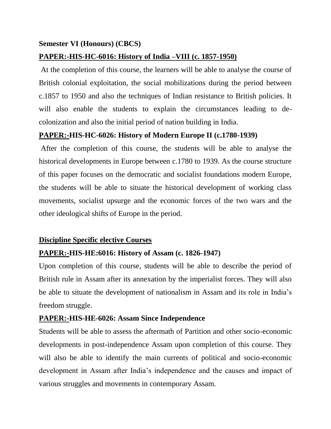#### **Semester VI (Honours) (CBCS)**

#### **PAPER:-HIS-HC-6016: History of India –VIII (c. 1857-1950)**

At the completion of this course, the learners will be able to analyse the course of British colonial exploitation, the social mobilizations during the period between c.1857 to 1950 and also the techniques of Indian resistance to British policies. It will also enable the students to explain the circumstances leading to decolonization and also the initial period of nation building in India.

#### **PAPER:-HIS-HC-6026: History of Modern Europe II (c.1780-1939)**

After the completion of this course, the students will be able to analyse the historical developments in Europe between c.1780 to 1939. As the course structure of this paper focuses on the democratic and socialist foundations modern Europe, the students will be able to situate the historical development of working class movements, socialist upsurge and the economic forces of the two wars and the other ideological shifts of Europe in the period.

#### **Discipline Specific elective Courses**

#### **PAPER:-HIS-HE:6016: History of Assam (c. 1826-1947)**

Upon completion of this course, students will be able to describe the period of British rule in Assam after its annexation by the imperialist forces. They will also be able to situate the development of nationalism in Assam and its role in India's freedom struggle.

#### **PAPER:-HIS-HE-6026: Assam Since Independence**

Students will be able to assess the aftermath of Partition and other socio-economic developments in post-independence Assam upon completion of this course. They will also be able to identify the main currents of political and socio-economic development in Assam after India's independence and the causes and impact of various struggles and movements in contemporary Assam.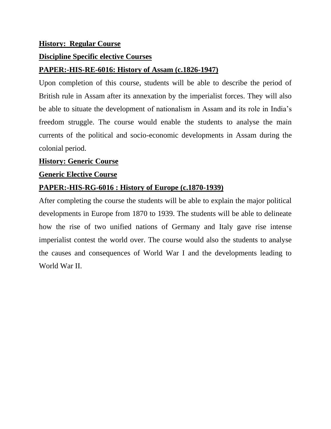#### **History: Regular Course**

#### **Discipline Specific elective Courses**

#### **PAPER:-HIS-RE-6016: History of Assam (c.1826-1947)**

Upon completion of this course, students will be able to describe the period of British rule in Assam after its annexation by the imperialist forces. They will also be able to situate the development of nationalism in Assam and its role in India's freedom struggle. The course would enable the students to analyse the main currents of the political and socio-economic developments in Assam during the colonial period.

#### **History: Generic Course**

#### **Generic Elective Course**

## **PAPER:-HIS-RG-6016 : History of Europe (c.1870-1939)**

After completing the course the students will be able to explain the major political developments in Europe from 1870 to 1939. The students will be able to delineate how the rise of two unified nations of Germany and Italy gave rise intense imperialist contest the world over. The course would also the students to analyse the causes and consequences of World War I and the developments leading to World War II.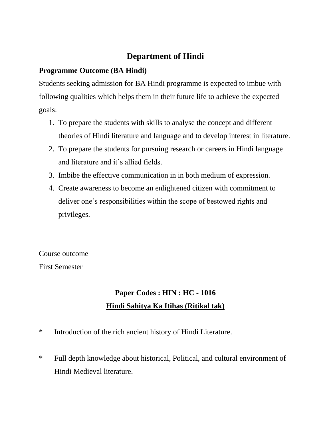# **Department of Hindi**

# **Programme Outcome (BA Hindi)**

Students seeking admission for BA Hindi programme is expected to imbue with following qualities which helps them in their future life to achieve the expected goals:

- 1. To prepare the students with skills to analyse the concept and different theories of Hindi literature and language and to develop interest in literature.
- 2. To prepare the students for pursuing research or careers in Hindi language and literature and it's allied fields.
- 3. Imbibe the effective communication in in both medium of expression.
- 4. Create awareness to become an enlightened citizen with commitment to deliver one's responsibilities within the scope of bestowed rights and privileges.

Course outcome First Semester

# **Paper Codes : HIN : HC - 1016 Hindi Sahitya Ka Itihas (Ritikal tak)**

- \* Introduction of the rich ancient history of Hindi Literature.
- \* Full depth knowledge about historical, Political, and cultural environment of Hindi Medieval literature.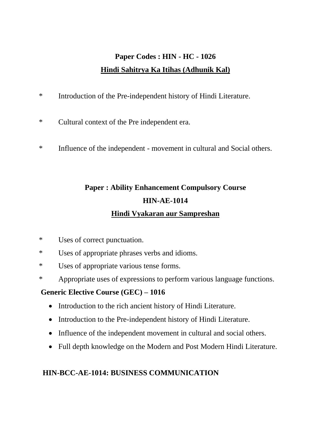# **Paper Codes : HIN - HC - 1026 Hindi Sahitrya Ka Itihas (Adhunik Kal)**

- \* Introduction of the Pre-independent history of Hindi Literature.
- \* Cultural context of the Pre independent era.
- \* Influence of the independent movement in cultural and Social others.

# **Paper : Ability Enhancement Compulsory Course HIN-AE-1014 Hindi Vyakaran aur Sampreshan**

- \* Uses of correct punctuation.
- \* Uses of appropriate phrases verbs and idioms.
- \* Uses of appropriate various tense forms.
- \* Appropriate uses of expressions to perform various language functions.

# **Generic Elective Course (GEC) – 1016**

- Introduction to the rich ancient history of Hindi Literature.
- Introduction to the Pre-independent history of Hindi Literature.
- Influence of the independent movement in cultural and social others.
- Full depth knowledge on the Modern and Post Modern Hindi Literature.

# **HIN-BCC-AE-1014: BUSINESS COMMUNICATION**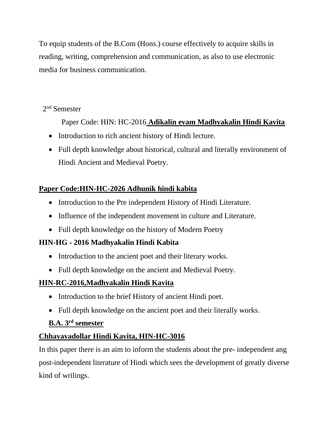To equip students of the B.Com (Hons.) course effectively to acquire skills in reading, writing, comprehension and communication, as also to use electronic media for business communication.

## 2<sup>nd</sup> Semester

Paper Code: HIN: HC-2016 **Adikalin evam Madhyakalin Hindi Kavita**

- Introduction to rich ancient history of Hindi lecture.
- Full depth knowledge about historical, cultural and literally environment of Hindi Ancient and Medieval Poetry.

# **Paper Code:HIN-HC-2026 Adhunik hindi kabita**

- Introduction to the Pre independent History of Hindi Literature.
- Influence of the independent movement in culture and Literature.
- Full depth knowledge on the history of Modern Poetry

# **HIN-HG - 2016 Madhyakalin Hindi Kabita**

- Introduction to the ancient poet and their literary works.
- Full depth knowledge on the ancient and Medieval Poetry.

# **HIN-RC-2016,Madhyakalin Hindi Kavita**

- Introduction to the brief History of ancient Hindi poet.
- Full depth knowledge on the ancient poet and their literally works.

# **B.A. 3rd semester**

# **Chhayavadollar Hindi Kavita, HIN-HC-3016**

In this paper there is an aim to inform the students about the pre- independent ang post-independent literature of Hindi which sees the development of greatly diverse kind of wrilings.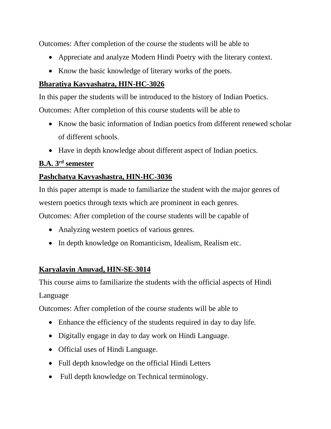Outcomes: After completion of the course the students will be able to

- Appreciate and analyze Modern Hindi Poetry with the literary context.
- Know the basic knowledge of literary works of the poets.

## **Bharatiya Kavyashatra, HIN-HC-3026**

In this paper the students will be introduced to the history of Indian Poetics.

Outcomes: After completion of this course students will be able to

- Know the basic information of Indian poetics from different renewed scholar of different schools.
- Have in depth knowledge about different aspect of Indian poetics.

## **B.A. 3rd semester**

## **Pashchatya Kavyashastra, HIN-HC-3036**

In this paper attempt is made to familiarize the student with the major genres of western poetics through texts which are prominent in each genres.

Outcomes: After completion of the course students will be capable of

- Analyzing western poetics of various genres.
- In depth knowledge on Romanticism, Idealism, Realism etc.

# **Karyalayin Anuvad, HIN-SE-3014**

This course aims to familiarize the students with the official aspects of Hindi Language

Outcomes: After completion of the course students will be able to

- Enhance the efficiency of the students required in day to day life.
- Digitally engage in day to day work on Hindi Language.
- Official uses of Hindi Language.
- Full depth knowledge on the official Hindi Letters
- Full depth knowledge on Technical terminology.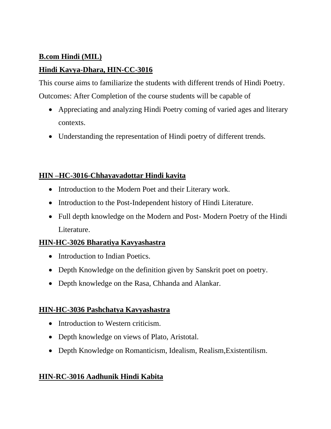## **B.com Hindi (MIL)**

## **Hindi Kavya-Dhara, HIN-CC-3016**

This course aims to familiarize the students with different trends of Hindi Poetry. Outcomes: After Completion of the course students will be capable of

- Appreciating and analyzing Hindi Poetry coming of varied ages and literary contexts.
- Understanding the representation of Hindi poetry of different trends.

## **HIN –HC-3016-Chhayavadottar Hindi kavita**

- Introduction to the Modern Poet and their Literary work.
- Introduction to the Post-Independent history of Hindi Literature.
- Full depth knowledge on the Modern and Post-Modern Poetry of the Hindi Literature.

## **HIN-HC-3026 Bharatiya Kavyashastra**

- Introduction to Indian Poetics.
- Depth Knowledge on the definition given by Sanskrit poet on poetry.
- Depth knowledge on the Rasa, Chhanda and Alankar.

## **HIN-HC-3036 Pashchatya Kavyashastra**

- Introduction to Western criticism.
- Depth knowledge on views of Plato, Aristotal.
- Depth Knowledge on Romanticism, Idealism, Realism, Existentilism.

## **HIN-RC-3016 Aadhunik Hindi Kabita**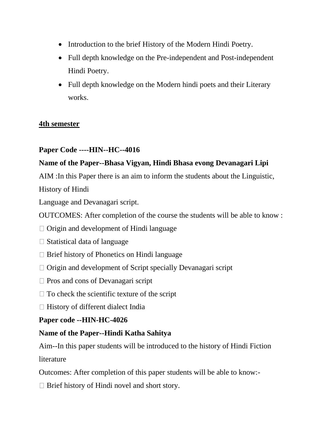- Introduction to the brief History of the Modern Hindi Poetry.
- Full depth knowledge on the Pre-independent and Post-independent Hindi Poetry.
- Full depth knowledge on the Modern hindi poets and their Literary works.

## **4th semester**

## **Paper Code ----HIN--HC--4016**

## **Name of the Paper--Bhasa Vigyan, Hindi Bhasa evong Devanagari Lipi**

AIM :In this Paper there is an aim to inform the students about the Linguistic,

History of Hindi

Language and Devanagari script.

OUTCOMES: After completion of the course the students will be able to know :

- $\Box$  Origin and development of Hindi language
- $\Box$  Statistical data of language
- □ Brief history of Phonetics on Hindi language
- $\Box$  Origin and development of Script specially Devanagari script
- $\Box$  Pros and cons of Devanagari script
- $\Box$  To check the scientific texture of the script
- $\Box$  History of different dialect India

## **Paper code --HIN-HC-4026**

## **Name of the Paper--Hindi Katha Sahitya**

Aim--In this paper students will be introduced to the history of Hindi Fiction **literature** 

Outcomes: After completion of this paper students will be able to know:-

 $\Box$  Brief history of Hindi novel and short story.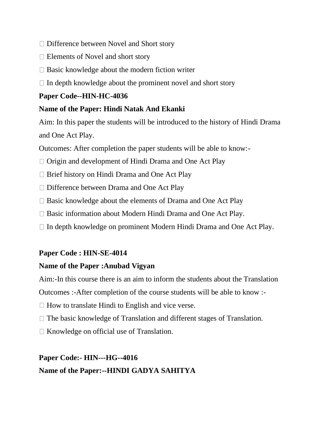- □ Difference between Novel and Short story
- $\Box$  Elements of Novel and short story
- $\Box$  Basic knowledge about the modern fiction writer
- $\Box$  In depth knowledge about the prominent novel and short story

### **Paper Code--HIN-HC-4036**

### **Name of the Paper: Hindi Natak And Ekanki**

Aim: In this paper the students will be introduced to the history of Hindi Drama and One Act Play.

Outcomes: After completion the paper students will be able to know:-

- $\Box$  Origin and development of Hindi Drama and One Act Play
- $\Box$  Brief history on Hindi Drama and One Act Play
- □ Difference between Drama and One Act Play
- $\Box$  Basic knowledge about the elements of Drama and One Act Play
- $\Box$  Basic information about Modern Hindi Drama and One Act Play.
- $\Box$  In depth knowledge on prominent Modern Hindi Drama and One Act Play.

## **Paper Code : HIN-SE-4014**

## **Name of the Paper :Anubad Vigyan**

Aim:-In this course there is an aim to inform the students about the Translation

Outcomes :-After completion of the course students will be able to know :-

- $\Box$  How to translate Hindi to English and vice verse.
- $\Box$  The basic knowledge of Translation and different stages of Translation.
- $\Box$  Knowledge on official use of Translation.

# **Paper Code:- HIN---HG--4016 Name of the Paper:--HINDI GADYA SAHITYA**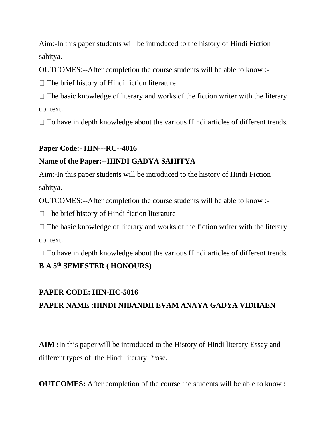Aim:-In this paper students will be introduced to the history of Hindi Fiction sahitya.

OUTCOMES:--After completion the course students will be able to know :-

 $\Box$  The brief history of Hindi fiction literature

 $\Box$  The basic knowledge of literary and works of the fiction writer with the literary context.

 $\Box$  To have in depth knowledge about the various Hindi articles of different trends.

## **Paper Code:- HIN---RC--4016**

## **Name of the Paper:--HINDI GADYA SAHITYA**

Aim:-In this paper students will be introduced to the history of Hindi Fiction sahitya.

OUTCOMES:--After completion the course students will be able to know :-

 $\Box$  The brief history of Hindi fiction literature

 $\Box$  The basic knowledge of literary and works of the fiction writer with the literary context.

 $\Box$  To have in depth knowledge about the various Hindi articles of different trends.

# **B A 5th SEMESTER ( HONOURS)**

## **PAPER CODE: HIN-HC-5016**

# **PAPER NAME :HINDI NIBANDH EVAM ANAYA GADYA VIDHAEN**

**AIM :**In this paper will be introduced to the History of Hindi literary Essay and different types of the Hindi literary Prose.

**OUTCOMES:** After completion of the course the students will be able to know :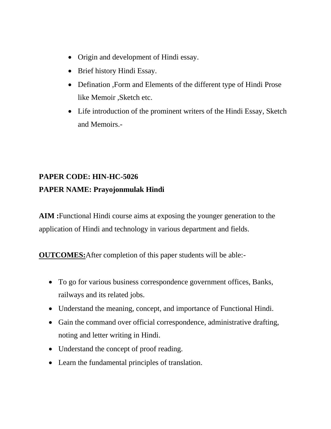- Origin and development of Hindi essay.
- Brief history Hindi Essay.
- Defination ,Form and Elements of the different type of Hindi Prose like Memoir ,Sketch etc.
- Life introduction of the prominent writers of the Hindi Essay, Sketch and Memoirs.-

# **PAPER CODE: HIN-HC-5026 PAPER NAME: Prayojonmulak Hindi**

**AIM :**Functional Hindi course aims at exposing the younger generation to the application of Hindi and technology in various department and fields.

**OUTCOMES:**After completion of this paper students will be able:-

- To go for various business correspondence government offices, Banks, railways and its related jobs.
- Understand the meaning, concept, and importance of Functional Hindi.
- Gain the command over official correspondence, administrative drafting, noting and letter writing in Hindi.
- Understand the concept of proof reading.
- Learn the fundamental principles of translation.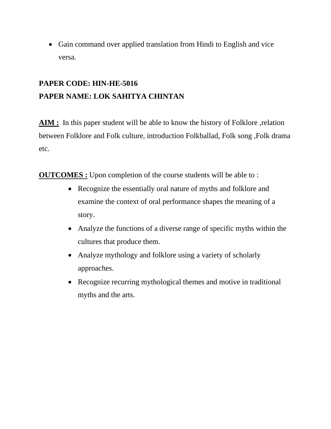• Gain command over applied translation from Hindi to English and vice versa.

# **PAPER CODE: HIN-HE-5016 PAPER NAME: LOK SAHITYA CHINTAN**

**AIM :** In this paper student will be able to know the history of Folklore ,relation between Folklore and Folk culture, introduction Folkballad, Folk song ,Folk drama etc.

**OUTCOMES :** Upon completion of the course students will be able to :

- Recognize the essentially oral nature of myths and folklore and examine the context of oral performance shapes the meaning of a story.
- Analyze the functions of a diverse range of specific myths within the cultures that produce them.
- Analyze mythology and folklore using a variety of scholarly approaches.
- Recognize recurring mythological themes and motive in traditional myths and the arts.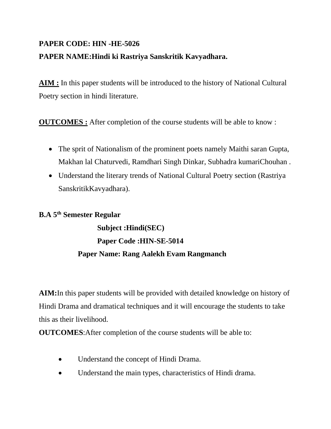# **PAPER CODE: HIN -HE-5026 PAPER NAME:Hindi ki Rastriya Sanskritik Kavyadhara.**

**AIM :** In this paper students will be introduced to the history of National Cultural Poetry section in hindi literature.

**OUTCOMES :** After completion of the course students will be able to know :

- The sprit of Nationalism of the prominent poets namely Maithi saran Gupta, Makhan lal Chaturvedi, Ramdhari Singh Dinkar, Subhadra kumariChouhan .
- Understand the literary trends of National Cultural Poetry section (Rastriya SanskritikKavyadhara).

## **B.A 5th Semester Regular**

**Subject :Hindi(SEC) Paper Code :HIN-SE-5014 Paper Name: Rang Aalekh Evam Rangmanch**

**AIM:**In this paper students will be provided with detailed knowledge on history of Hindi Drama and dramatical techniques and it will encourage the students to take this as their livelihood.

**OUTCOMES**:After completion of the course students will be able to:

- Understand the concept of Hindi Drama.
- Understand the main types, characteristics of Hindi drama.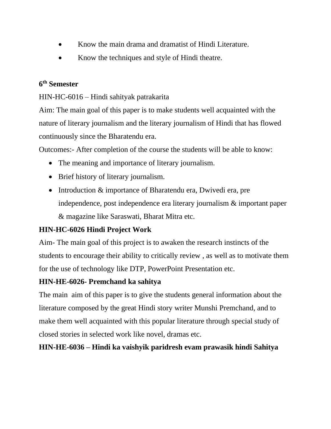- Know the main drama and dramatist of Hindi Literature.
- Know the techniques and style of Hindi theatre.

## **6 th Semester**

HIN-HC-6016 – Hindi sahityak patrakarita

Aim: The main goal of this paper is to make students well acquainted with the nature of literary journalism and the literary journalism of Hindi that has flowed continuously since the Bharatendu era.

Outcomes:- After completion of the course the students will be able to know:

- The meaning and importance of literary journalism.
- Brief history of literary journalism.
- Introduction & importance of Bharatendu era, Dwivedi era, pre independence, post independence era literary journalism & important paper & magazine like Saraswati, Bharat Mitra etc.

## **HIN-HC-6026 Hindi Project Work**

Aim- The main goal of this project is to awaken the research instincts of the students to encourage their ability to critically review , as well as to motivate them for the use of technology like DTP, PowerPoint Presentation etc.

## **HIN-HE-6026- Premchand ka sahitya**

The main aim of this paper is to give the students general information about the literature composed by the great Hindi story writer Munshi Premchand, and to make them well acquainted with this popular literature through special study of closed stories in selected work like novel, dramas etc.

**HIN-HE-6036 – Hindi ka vaishyik paridresh evam prawasik hindi Sahitya**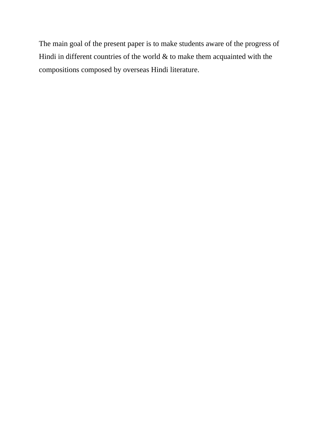The main goal of the present paper is to make students aware of the progress of Hindi in different countries of the world  $\&$  to make them acquainted with the compositions composed by overseas Hindi literature.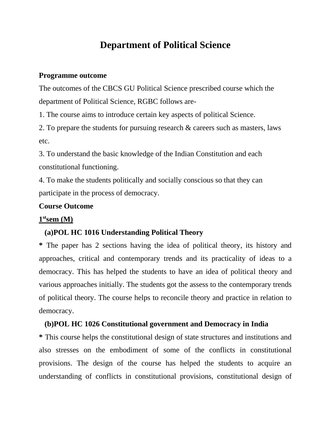# **Department of Political Science**

#### **Programme outcome**

The outcomes of the CBCS GU Political Science prescribed course which the department of Political Science, RGBC follows are-

1. The course aims to introduce certain key aspects of political Science.

2. To prepare the students for pursuing research & careers such as masters, laws etc.

3. To understand the basic knowledge of the Indian Constitution and each constitutional functioning.

4. To make the students politically and socially conscious so that they can participate in the process of democracy.

### **Course Outcome**

### **1 stsem (M)**

#### **(a)POL HC 1016 Understanding Political Theory**

**\*** The paper has 2 sections having the idea of political theory, its history and approaches, critical and contemporary trends and its practicality of ideas to a democracy. This has helped the students to have an idea of political theory and various approaches initially. The students got the assess to the contemporary trends of political theory. The course helps to reconcile theory and practice in relation to democracy.

#### **(b)POL HC 1026 Constitutional government and Democracy in India**

**\*** This course helps the constitutional design of state structures and institutions and also stresses on the embodiment of some of the conflicts in constitutional provisions. The design of the course has helped the students to acquire an understanding of conflicts in constitutional provisions, constitutional design of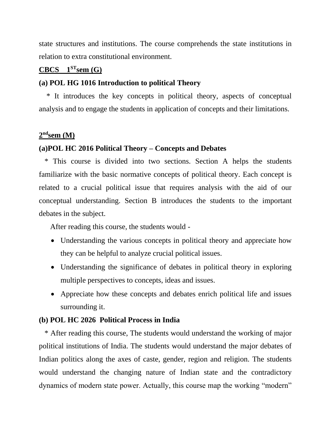state structures and institutions. The course comprehends the state institutions in relation to extra constitutional environment.

## $CBCS$  1<sup>ST</sup>**sem** (G)

### **(a) POL HG 1016 Introduction to political Theory**

 \* It introduces the key concepts in political theory, aspects of conceptual analysis and to engage the students in application of concepts and their limitations.

### **2 ndsem (M)**

### **(a)POL HC 2016 Political Theory – Concepts and Debates**

 \* This course is divided into two sections. Section A helps the students familiarize with the basic normative concepts of political theory. Each concept is related to a crucial political issue that requires analysis with the aid of our conceptual understanding. Section B introduces the students to the important debates in the subject.

After reading this course, the students would -

- Understanding the various concepts in political theory and appreciate how they can be helpful to analyze crucial political issues.
- Understanding the significance of debates in political theory in exploring multiple perspectives to concepts, ideas and issues.
- Appreciate how these concepts and debates enrich political life and issues surrounding it.

### **(b) POL HC 2026 Political Process in India**

 \* After reading this course, The students would understand the working of major political institutions of India. The students would understand the major debates of Indian politics along the axes of caste, gender, region and religion. The students would understand the changing nature of Indian state and the contradictory dynamics of modern state power. Actually, this course map the working "modern"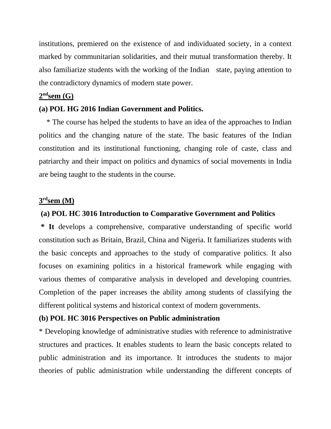institutions, premiered on the existence of and individuated society, in a context marked by communitarian solidarities, and their mutual transformation thereby. It also familiarize students with the working of the Indian state, paying attention to the contradictory dynamics of modern state power.

### **2 ndsem (G)**

#### **(a) POL HG 2016 Indian Government and Politics.**

 \* The course has helped the students to have an idea of the approaches to Indian politics and the changing nature of the state. The basic features of the Indian constitution and its institutional functioning, changing role of caste, class and patriarchy and their impact on politics and dynamics of social movements in India are being taught to the students in the course.

### **3 rdsem (M)**

#### **(a) POL HC 3016 Introduction to Comparative Government and Politics**

**\* It** develops a comprehensive, comparative understanding of specific world constitution such as Britain, Brazil, China and Nigeria. It familiarizes students with the basic concepts and approaches to the study of comparative politics. It also focuses on examining politics in a historical framework while engaging with various themes of comparative analysis in developed and developing countries. Completion of the paper increases the ability among students of classifying the different political systems and historical context of modern governments.

#### **(b) POL HC 3016 Perspectives on Public administration**

\* Developing knowledge of administrative studies with reference to administrative structures and practices. It enables students to learn the basic concepts related to public administration and its importance. It introduces the students to major theories of public administration while understanding the different concepts of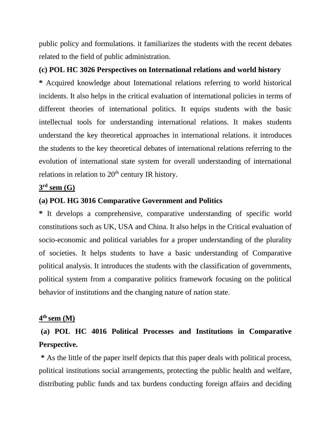public policy and formulations. it familiarizes the students with the recent debates related to the field of public administration.

### **(c) POL HC 3026 Perspectives on International relations and world history**

**\*** Acquired knowledge about International relations referring to world historical incidents. It also helps in the critical evaluation of international policies in terms of different theories of international politics. It equips students with the basic intellectual tools for understanding international relations. It makes students understand the key theoretical approaches in international relations. it introduces the students to the key theoretical debates of international relations referring to the evolution of international state system for overall understanding of international relations in relation to 20<sup>th</sup> century IR history.

### **3 rd sem (G)**

#### **(a) POL HG 3016 Comparative Government and Politics**

**\*** It develops a comprehensive, comparative understanding of specific world constitutions such as UK, USA and China. It also helps in the Critical evaluation of socio-economic and political variables for a proper understanding of the plurality of societies. It helps students to have a basic understanding of Comparative political analysis. It introduces the students with the classification of governments, political system from a comparative politics framework focusing on the political behavior of institutions and the changing nature of nation state.

### **4 th sem (M)**

# **(a) POL HC 4016 Political Processes and Institutions in Comparative Perspective.**

**\*** As the little of the paper itself depicts that this paper deals with political process, political institutions social arrangements, protecting the public health and welfare, distributing public funds and tax burdens conducting foreign affairs and deciding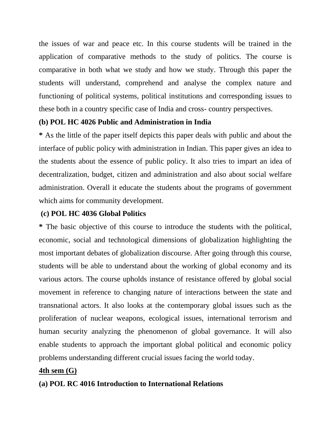the issues of war and peace etc. In this course students will be trained in the application of comparative methods to the study of politics. The course is comparative in both what we study and how we study. Through this paper the students will understand, comprehend and analyse the complex nature and functioning of political systems, political institutions and corresponding issues to these both in a country specific case of India and cross- country perspectives.

### **(b) POL HC 4026 Public and Administration in India**

**\*** As the little of the paper itself depicts this paper deals with public and about the interface of public policy with administration in Indian. This paper gives an idea to the students about the essence of public policy. It also tries to impart an idea of decentralization, budget, citizen and administration and also about social welfare administration. Overall it educate the students about the programs of government which aims for community development.

### **(c) POL HC 4036 Global Politics**

**\*** The basic objective of this course to introduce the students with the political, economic, social and technological dimensions of globalization highlighting the most important debates of globalization discourse. After going through this course, students will be able to understand about the working of global economy and its various actors. The course upholds instance of resistance offered by global social movement in reference to changing nature of interactions between the state and transnational actors. It also looks at the contemporary global issues such as the proliferation of nuclear weapons, ecological issues, international terrorism and human security analyzing the phenomenon of global governance. It will also enable students to approach the important global political and economic policy problems understanding different crucial issues facing the world today.

### **4th sem (G)**

## **(a) POL RC 4016 Introduction to International Relations**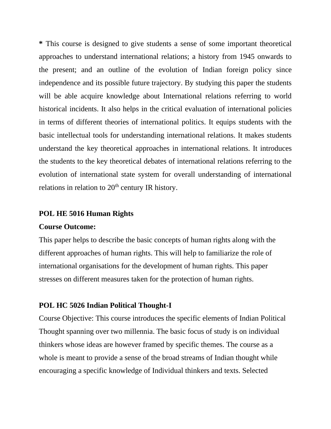**\*** This course is designed to give students a sense of some important theoretical approaches to understand international relations; a history from 1945 onwards to the present; and an outline of the evolution of Indian foreign policy since independence and its possible future trajectory. By studying this paper the students will be able acquire knowledge about International relations referring to world historical incidents. It also helps in the critical evaluation of international policies in terms of different theories of international politics. It equips students with the basic intellectual tools for understanding international relations. It makes students understand the key theoretical approaches in international relations. It introduces the students to the key theoretical debates of international relations referring to the evolution of international state system for overall understanding of international relations in relation to  $20<sup>th</sup>$  century IR history.

#### **POL HE 5016 Human Rights**

#### **Course Outcome:**

This paper helps to describe the basic concepts of human rights along with the different approaches of human rights. This will help to familiarize the role of international organisations for the development of human rights. This paper stresses on different measures taken for the protection of human rights.

#### **POL HC 5026 Indian Political Thought-I**

Course Objective: This course introduces the specific elements of Indian Political Thought spanning over two millennia. The basic focus of study is on individual thinkers whose ideas are however framed by specific themes. The course as a whole is meant to provide a sense of the broad streams of Indian thought while encouraging a specific knowledge of Individual thinkers and texts. Selected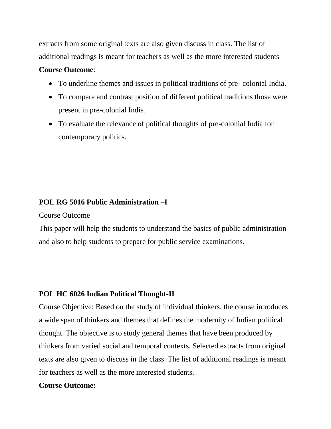extracts from some original texts are also given discuss in class. The list of additional readings is meant for teachers as well as the more interested students

#### **Course Outcome**:

- To underline themes and issues in political traditions of pre- colonial India.
- To compare and contrast position of different political traditions those were present in pre-colonial India.
- To evaluate the relevance of political thoughts of pre-colonial India for contemporary politics.

### **POL RG 5016 Public Administration –I**

Course Outcome

This paper will help the students to understand the basics of public administration and also to help students to prepare for public service examinations.

### **POL HC 6026 Indian Political Thought-II**

Course Objective: Based on the study of individual thinkers, the course introduces a wide span of thinkers and themes that defines the modernity of Indian political thought. The objective is to study general themes that have been produced by thinkers from varied social and temporal contexts. Selected extracts from original texts are also given to discuss in the class. The list of additional readings is meant for teachers as well as the more interested students.

### **Course Outcome:**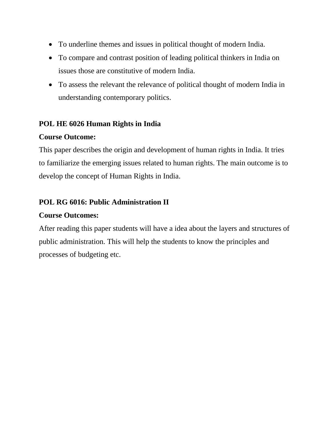- To underline themes and issues in political thought of modern India.
- To compare and contrast position of leading political thinkers in India on issues those are constitutive of modern India.
- To assess the relevant the relevance of political thought of modern India in understanding contemporary politics.

### **POL HE 6026 Human Rights in India**

### **Course Outcome:**

This paper describes the origin and development of human rights in India. It tries to familiarize the emerging issues related to human rights. The main outcome is to develop the concept of Human Rights in India.

## **POL RG 6016: Public Administration II**

### **Course Outcomes:**

After reading this paper students will have a idea about the layers and structures of public administration. This will help the students to know the principles and processes of budgeting etc.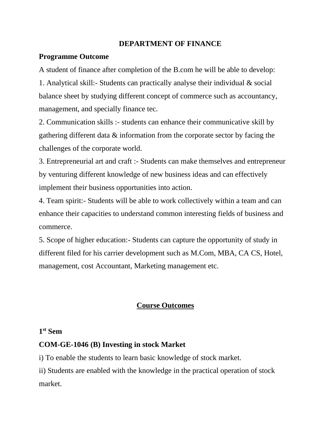### **DEPARTMENT OF FINANCE**

### **Programme Outcome**

A student of finance after completion of the B.com he will be able to develop: 1. Analytical skill:- Students can practically analyse their individual & social balance sheet by studying different concept of commerce such as accountancy, management, and specially finance tec.

2. Communication skills :- students can enhance their communicative skill by gathering different data & information from the corporate sector by facing the challenges of the corporate world.

3. Entrepreneurial art and craft :- Students can make themselves and entrepreneur by venturing different knowledge of new business ideas and can effectively implement their business opportunities into action.

4. Team spirit:- Students will be able to work collectively within a team and can enhance their capacities to understand common interesting fields of business and commerce.

5. Scope of higher education:- Students can capture the opportunity of study in different filed for his carrier development such as M.Com, MBA, CA CS, Hotel, management, cost Accountant, Marketing management etc.

### **Course Outcomes**

### **1 st Sem**

### **COM-GE-1046 (B) Investing in stock Market**

i) To enable the students to learn basic knowledge of stock market.

ii) Students are enabled with the knowledge in the practical operation of stock market.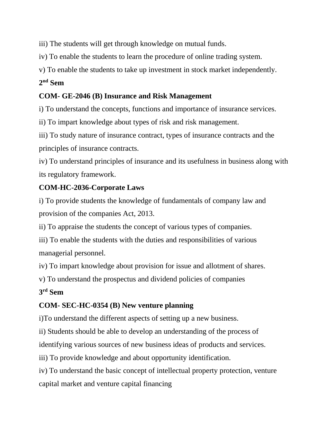iii) The students will get through knowledge on mutual funds.

iv) To enable the students to learn the procedure of online trading system.

v) To enable the students to take up investment in stock market independently.

## **2 nd Sem**

## **COM- GE-2046 (B) Insurance and Risk Management**

i) To understand the concepts, functions and importance of insurance services.

ii) To impart knowledge about types of risk and risk management.

iii) To study nature of insurance contract, types of insurance contracts and the principles of insurance contracts.

iv) To understand principles of insurance and its usefulness in business along with its regulatory framework.

# **COM-HC-2036-Corporate Laws**

i) To provide students the knowledge of fundamentals of company law and provision of the companies Act, 2013.

ii) To appraise the students the concept of various types of companies.

iii) To enable the students with the duties and responsibilities of various managerial personnel.

iv) To impart knowledge about provision for issue and allotment of shares.

v) To understand the prospectus and dividend policies of companies

# **3 rd Sem**

# **COM- SEC-HC-0354 (B) New venture planning**

i)To understand the different aspects of setting up a new business.

ii) Students should be able to develop an understanding of the process of

identifying various sources of new business ideas of products and services.

iii) To provide knowledge and about opportunity identification.

iv) To understand the basic concept of intellectual property protection, venture capital market and venture capital financing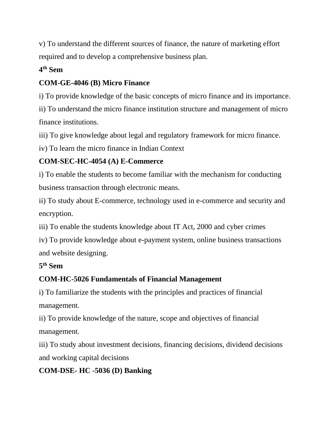v) To understand the different sources of finance, the nature of marketing effort required and to develop a comprehensive business plan.

# **4 th Sem**

# **COM-GE-4046 (B) Micro Finance**

i) To provide knowledge of the basic concepts of micro finance and its importance.

ii) To understand the micro finance institution structure and management of micro finance institutions.

iii) To give knowledge about legal and regulatory framework for micro finance.

iv) To learn the micro finance in Indian Context

# **COM-SEC-HC-4054 (A) E-Commerce**

i) To enable the students to become familiar with the mechanism for conducting business transaction through electronic means.

ii) To study about E-commerce, technology used in e-commerce and security and encryption.

iii) To enable the students knowledge about IT Act, 2000 and cyber crimes

iv) To provide knowledge about e-payment system, online business transactions and website designing.

# **5 th Sem**

# **COM-HC-5026 Fundamentals of Financial Management**

i) To familiarize the students with the principles and practices of financial management.

ii) To provide knowledge of the nature, scope and objectives of financial management.

iii) To study about investment decisions, financing decisions, dividend decisions and working capital decisions

# **COM-DSE- HC -5036 (D) Banking**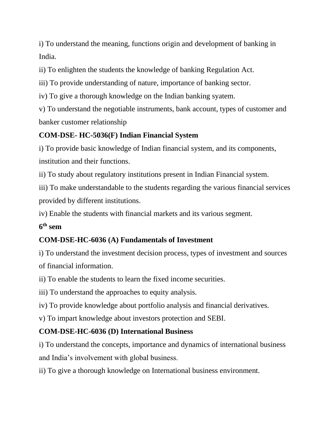i) To understand the meaning, functions origin and development of banking in India.

ii) To enlighten the students the knowledge of banking Regulation Act.

iii) To provide understanding of nature, importance of banking sector.

iv) To give a thorough knowledge on the Indian banking syatem.

v) To understand the negotiable instruments, bank account, types of customer and banker customer relationship

# **COM-DSE- HC-5036(F) Indian Financial System**

i) To provide basic knowledge of Indian financial system, and its components, institution and their functions.

ii) To study about regulatory institutions present in Indian Financial system.

iii) To make understandable to the students regarding the various financial services provided by different institutions.

iv) Enable the students with financial markets and its various segment.

# **6 th sem**

# **COM-DSE-HC-6036 (A) Fundamentals of Investment**

i) To understand the investment decision process, types of investment and sources of financial information.

ii) To enable the students to learn the fixed income securities.

iii) To understand the approaches to equity analysis.

iv) To provide knowledge about portfolio analysis and financial derivatives.

v) To impart knowledge about investors protection and SEBI.

# **COM-DSE-HC-6036 (D) International Business**

i) To understand the concepts, importance and dynamics of international business and India's involvement with global business.

ii) To give a thorough knowledge on International business environment.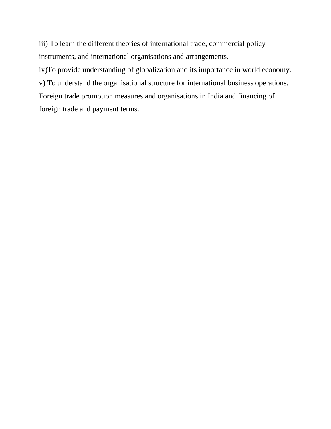iii) To learn the different theories of international trade, commercial policy instruments, and international organisations and arrangements.

iv)To provide understanding of globalization and its importance in world economy.

v) To understand the organisational structure for international business operations,

Foreign trade promotion measures and organisations in India and financing of foreign trade and payment terms.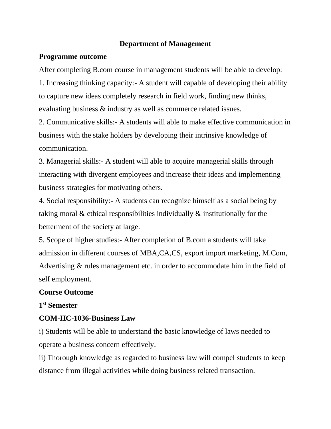### **Department of Management**

### **Programme outcome**

After completing B.com course in management students will be able to develop:

1. Increasing thinking capacity:- A student will capable of developing their ability to capture new ideas completely research in field work, finding new thinks, evaluating business & industry as well as commerce related issues.

2. Communicative skills:- A students will able to make effective communication in business with the stake holders by developing their intrinsive knowledge of communication.

3. Managerial skills:- A student will able to acquire managerial skills through interacting with divergent employees and increase their ideas and implementing business strategies for motivating others.

4. Social responsibility:- A students can recognize himself as a social being by taking moral & ethical responsibilities individually & institutionally for the betterment of the society at large.

5. Scope of higher studies:- After completion of B.com a students will take admission in different courses of MBA,CA,CS, export import marketing, M.Com, Advertising & rules management etc. in order to accommodate him in the field of self employment.

### **Course Outcome**

### **1 st Semester**

### **COM-HC-1036-Business Law**

i) Students will be able to understand the basic knowledge of laws needed to operate a business concern effectively.

ii) Thorough knowledge as regarded to business law will compel students to keep distance from illegal activities while doing business related transaction.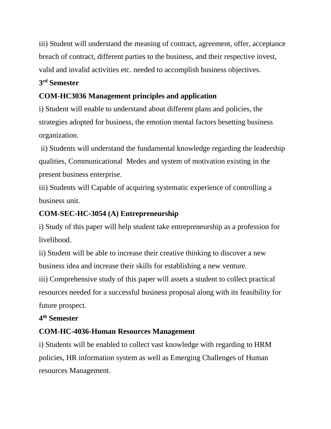iii) Student will understand the meaning of contract, agreement, offer, acceptance breach of contract, different parties to the business, and their respective invest, valid and invalid activities etc. needed to accomplish business objectives.

## **3 rd Semester**

## **COM-HC3036 Management principles and application**

i) Student will enable to understand about different plans and policies, the strategies adopted for business, the emotion mental factors besetting business organization.

ii) Students will understand the fundamental knowledge regarding the leadership qualities, Communicational Medes and system of motivation existing in the present business enterprise.

iii) Students will Capable of acquiring systematic experience of controlling a business unit.

## **COM-SEC-HC-3054 (A) Entrepreneurship**

i) Study of this paper will help student take entrepreneurship as a profession for livelihood.

ii) Student will be able to increase their creative thinking to discover a new business idea and increase their skills for establishing a new venture.

iii) Comprehensive study of this paper will assets a student to collect practical resources needed for a successful business proposal along with its feasibility for future prospect.

## **4 th Semester**

# **COM-HC-4036-Human Resources Management**

i) Students will be enabled to collect vast knowledge with regarding to HRM policies, HR information system as well as Emerging Challenges of Human resources Management.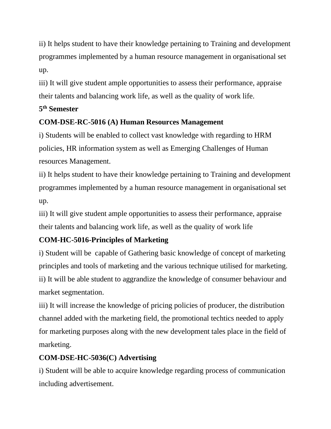ii) It helps student to have their knowledge pertaining to Training and development programmes implemented by a human resource management in organisational set up.

iii) It will give student ample opportunities to assess their performance, appraise their talents and balancing work life, as well as the quality of work life.

## **5 th Semester**

## **COM-DSE-RC-5016 (A) Human Resources Management**

i) Students will be enabled to collect vast knowledge with regarding to HRM policies, HR information system as well as Emerging Challenges of Human resources Management.

ii) It helps student to have their knowledge pertaining to Training and development programmes implemented by a human resource management in organisational set up.

iii) It will give student ample opportunities to assess their performance, appraise their talents and balancing work life, as well as the quality of work life

# **COM-HC-5016-Principles of Marketing**

i) Student will be capable of Gathering basic knowledge of concept of marketing principles and tools of marketing and the various technique utilised for marketing. ii) It will be able student to aggrandize the knowledge of consumer behaviour and market segmentation.

iii) It will increase the knowledge of pricing policies of producer, the distribution channel added with the marketing field, the promotional techtics needed to apply for marketing purposes along with the new development tales place in the field of marketing.

# **COM-DSE-HC-5036(C) Advertising**

i) Student will be able to acquire knowledge regarding process of communication including advertisement.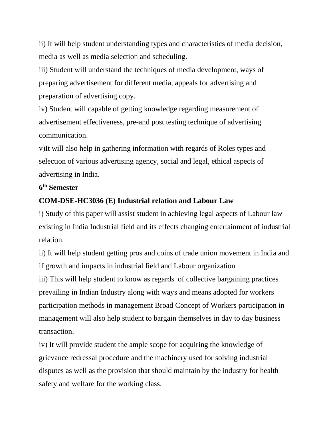ii) It will help student understanding types and characteristics of media decision, media as well as media selection and scheduling.

iii) Student will understand the techniques of media development, ways of preparing advertisement for different media, appeals for advertising and preparation of advertising copy.

iv) Student will capable of getting knowledge regarding measurement of advertisement effectiveness, pre-and post testing technique of advertising communication.

v)It will also help in gathering information with regards of Roles types and selection of various advertising agency, social and legal, ethical aspects of advertising in India.

### **6 th Semester**

## **COM-DSE-HC3036 (E) Industrial relation and Labour Law**

i) Study of this paper will assist student in achieving legal aspects of Labour law existing in India Industrial field and its effects changing entertainment of industrial relation.

ii) It will help student getting pros and coins of trade union movement in India and if growth and impacts in industrial field and Labour organization iii) This will help student to know as regards of collective bargaining practices prevailing in Indian Industry along with ways and means adopted for workers participation methods in management Broad Concept of Workers participation in management will also help student to bargain themselves in day to day business transaction.

iv) It will provide student the ample scope for acquiring the knowledge of grievance redressal procedure and the machinery used for solving industrial disputes as well as the provision that should maintain by the industry for health safety and welfare for the working class.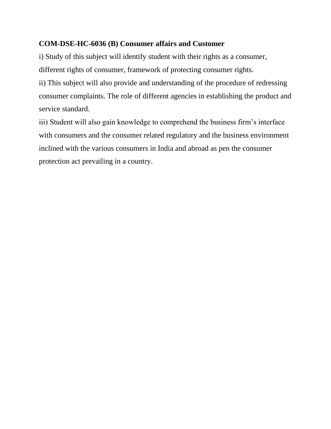## **COM-DSE-HC-6036 (B) Consumer affairs and Customer**

i) Study of this subject will identify student with their rights as a consumer, different rights of consumer, framework of protecting consumer rights. ii) This subject will also provide and understanding of the procedure of redressing

consumer complaints. The role of different agencies in establishing the product and service standard.

iii) Student will also gain knowledge to comprehend the business firm's interface with consumers and the consumer related regulatory and the business environment inclined with the various consumers in India and abroad as pen the consumer protection act prevailing in a country.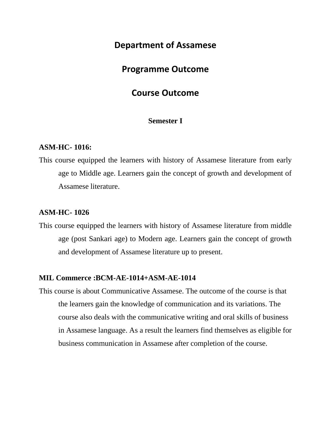## **Department of Assamese**

## **Programme Outcome**

## **Course Outcome**

### **Semester I**

#### **ASM-HC- 1016:**

This course equipped the learners with history of Assamese literature from early age to Middle age. Learners gain the concept of growth and development of Assamese literature.

### **ASM-HC- 1026**

This course equipped the learners with history of Assamese literature from middle age (post Sankari age) to Modern age. Learners gain the concept of growth and development of Assamese literature up to present.

### **MIL Commerce :BCM-AE-1014+ASM-AE-1014**

This course is about Communicative Assamese. The outcome of the course is that the learners gain the knowledge of communication and its variations. The course also deals with the communicative writing and oral skills of business in Assamese language. As a result the learners find themselves as eligible for business communication in Assamese after completion of the course.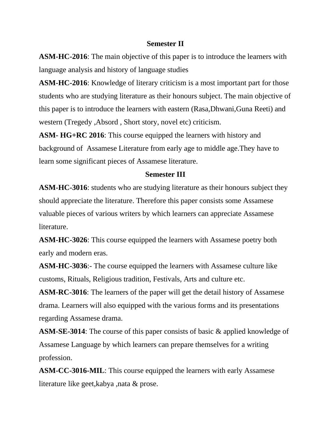#### **Semester II**

**ASM-HC-2016**: The main objective of this paper is to introduce the learners with language analysis and history of language studies

**ASM-HC-2016**: Knowledge of literary criticism is a most important part for those students who are studying literature as their honours subject. The main objective of this paper is to introduce the learners with eastern (Rasa,Dhwani,Guna Reeti) and western (Tregedy ,Absord , Short story, novel etc) criticism.

**ASM- HG+RC 2016**: This course equipped the learners with history and background of Assamese Literature from early age to middle age.They have to learn some significant pieces of Assamese literature.

#### **Semester III**

**ASM-HC-3016**: students who are studying literature as their honours subject they should appreciate the literature. Therefore this paper consists some Assamese valuable pieces of various writers by which learners can appreciate Assamese literature.

**ASM-HC-3026**: This course equipped the learners with Assamese poetry both early and modern eras.

**ASM-HC-3036**:- The course equipped the learners with Assamese culture like customs, Rituals, Religious tradition, Festivals, Arts and culture etc.

**ASM-RC-3016**: The learners of the paper will get the detail history of Assamese drama. Learners will also equipped with the various forms and its presentations regarding Assamese drama.

**ASM-SE-3014**: The course of this paper consists of basic & applied knowledge of Assamese Language by which learners can prepare themselves for a writing profession.

**ASM-CC-3016-MIL**: This course equipped the learners with early Assamese literature like geet,kabya ,nata & prose.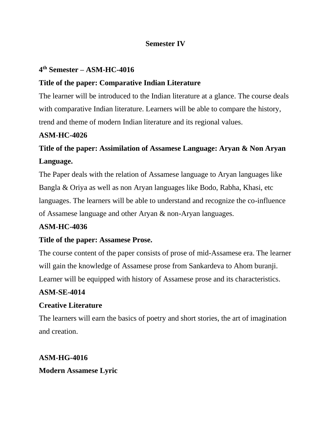### **Semester IV**

## **4 th Semester – ASM-HC-4016**

## **Title of the paper: Comparative Indian Literature**

The learner will be introduced to the Indian literature at a glance. The course deals with comparative Indian literature. Learners will be able to compare the history, trend and theme of modern Indian literature and its regional values.

## **ASM-HC-4026**

# **Title of the paper: Assimilation of Assamese Language: Aryan & Non Aryan Language.**

The Paper deals with the relation of Assamese language to Aryan languages like Bangla & Oriya as well as non Aryan languages like Bodo, Rabha, Khasi, etc languages. The learners will be able to understand and recognize the co-influence of Assamese language and other Aryan & non-Aryan languages.

## **ASM-HC-4036**

## **Title of the paper: Assamese Prose.**

The course content of the paper consists of prose of mid-Assamese era. The learner will gain the knowledge of Assamese prose from Sankardeva to Ahom buranji. Learner will be equipped with history of Assamese prose and its characteristics.

## **ASM-SE-4014**

### **Creative Literature**

The learners will earn the basics of poetry and short stories, the art of imagination and creation.

## **ASM-HG-4016**

## **Modern Assamese Lyric**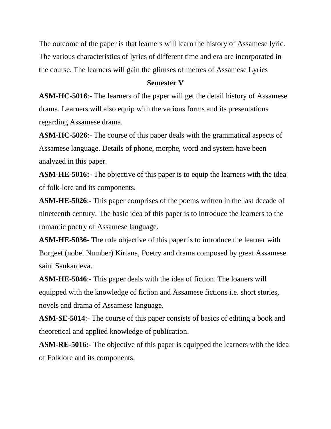The outcome of the paper is that learners will learn the history of Assamese lyric. The various characteristics of lyrics of different time and era are incorporated in the course. The learners will gain the glimses of metres of Assamese Lyrics

### **Semester V**

**ASM-HC-5016**:- The learners of the paper will get the detail history of Assamese drama. Learners will also equip with the various forms and its presentations regarding Assamese drama.

**ASM-HC-5026**:- The course of this paper deals with the grammatical aspects of Assamese language. Details of phone, morphe, word and system have been analyzed in this paper.

**ASM-HE-5016:**- The objective of this paper is to equip the learners with the idea of folk-lore and its components.

**ASM-HE-5026**:- This paper comprises of the poems written in the last decade of nineteenth century. The basic idea of this paper is to introduce the learners to the romantic poetry of Assamese language.

**ASM-HE-5036**- The role objective of this paper is to introduce the learner with Borgeet (nobel Number) Kirtana, Poetry and drama composed by great Assamese saint Sankardeva.

**ASM-HE-5046**:- This paper deals with the idea of fiction. The loaners will equipped with the knowledge of fiction and Assamese fictions i.e. short stories, novels and drama of Assamese language.

**ASM-SE-5014**:- The course of this paper consists of basics of editing a book and theoretical and applied knowledge of publication.

**ASM-RE-5016:**- The objective of this paper is equipped the learners with the idea of Folklore and its components.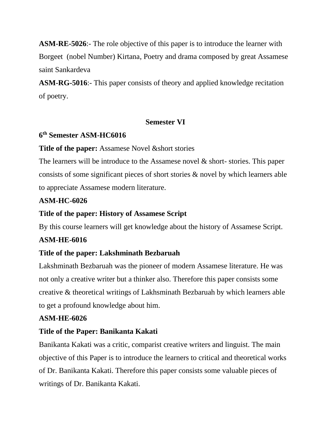**ASM-RE-5026**:- The role objective of this paper is to introduce the learner with Borgeet (nobel Number) Kirtana, Poetry and drama composed by great Assamese saint Sankardeva

**ASM-RG-5016**:- This paper consists of theory and applied knowledge recitation of poetry.

### **Semester VI**

## **6 th Semester ASM-HC6016**

## **Title of the paper:** Assamese Novel & short stories

The learners will be introduce to the Assamese novel & short-stories. This paper consists of some significant pieces of short stories & novel by which learners able to appreciate Assamese modern literature.

## **ASM-HC-6026**

## **Title of the paper: History of Assamese Script**

By this course learners will get knowledge about the history of Assamese Script.

## **ASM-HE-6016**

## **Title of the paper: Lakshminath Bezbaruah**

Lakshminath Bezbaruah was the pioneer of modern Assamese literature. He was not only a creative writer but a thinker also. Therefore this paper consists some creative & theoretical writings of Lakhsminath Bezbaruah by which learners able to get a profound knowledge about him.

## **ASM-HE-6026**

## **Title of the Paper: Banikanta Kakati**

Banikanta Kakati was a critic, comparist creative writers and linguist. The main objective of this Paper is to introduce the learners to critical and theoretical works of Dr. Banikanta Kakati. Therefore this paper consists some valuable pieces of writings of Dr. Banikanta Kakati.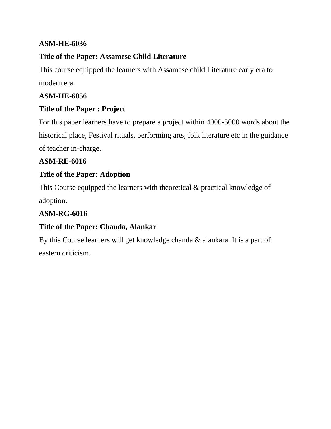## **ASM-HE-6036**

## **Title of the Paper: Assamese Child Literature**

This course equipped the learners with Assamese child Literature early era to modern era.

## **ASM-HE-6056**

## **Title of the Paper : Project**

For this paper learners have to prepare a project within 4000-5000 words about the historical place, Festival rituals, performing arts, folk literature etc in the guidance of teacher in-charge.

## **ASM-RE-6016**

## **Title of the Paper: Adoption**

This Course equipped the learners with theoretical & practical knowledge of adoption.

## **ASM-RG-6016**

## **Title of the Paper: Chanda, Alankar**

By this Course learners will get knowledge chanda & alankara. It is a part of eastern criticism.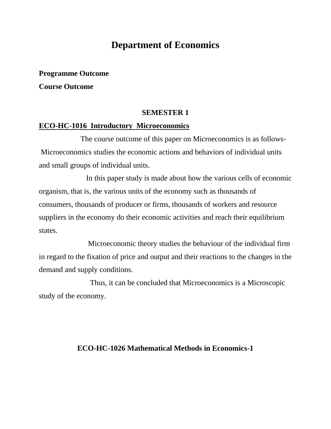# **Department of Economics**

#### **Programme Outcome**

**Course Outcome**

#### **SEMESTER 1**

### **ECO-HC-1016 Introductory Microeconomics**

 The course outcome of this paper on Microeconomics is as follows-Microeconomics studies the economic actions and behaviors of individual units and small groups of individual units.

 In this paper study is made about how the various cells of economic organism, that is, the various units of the economy such as thousands of consumers, thousands of producer or firms, thousands of workers and resource suppliers in the economy do their economic activities and reach their equilibrium states.

 Microeconomic theory studies the behaviour of the individual firm in regard to the fixation of price and output and their reactions to the changes in the demand and supply conditions.

 Thus, it can be concluded that Microeconomics is a Microscopic study of the economy.

### **ECO-HC-1026 Mathematical Methods in Economics-1**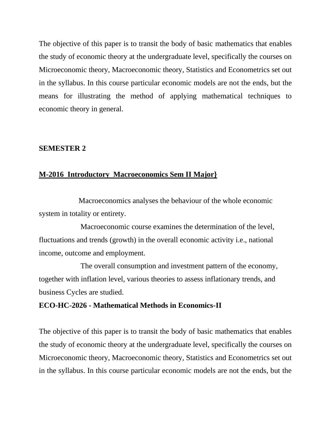The objective of this paper is to transit the body of basic mathematics that enables the study of economic theory at the undergraduate level, specifically the courses on Microeconomic theory, Macroeconomic theory, Statistics and Econometrics set out in the syllabus. In this course particular economic models are not the ends, but the means for illustrating the method of applying mathematical techniques to economic theory in general.

#### **SEMESTER 2**

#### **M-2016 Introductory Macroeconomics Sem II Major}**

 Macroeconomics analyses the behaviour of the whole economic system in totality or entirety.

 Macroeconomic course examines the determination of the level, fluctuations and trends (growth) in the overall economic activity i.e., national income, outcome and employment.

 The overall consumption and investment pattern of the economy, together with inflation level, various theories to assess inflationary trends, and business Cycles are studied.

#### **ECO-HC-2026 - Mathematical Methods in Economics-II**

The objective of this paper is to transit the body of basic mathematics that enables the study of economic theory at the undergraduate level, specifically the courses on Microeconomic theory, Macroeconomic theory, Statistics and Econometrics set out in the syllabus. In this course particular economic models are not the ends, but the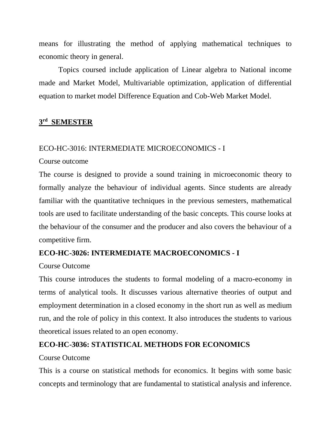means for illustrating the method of applying mathematical techniques to economic theory in general.

Topics coursed include application of Linear algebra to National income made and Market Model, Multivariable optimization, application of differential equation to market model Difference Equation and Cob-Web Market Model.

# **3 rd SEMESTER**

#### ECO-HC-3016: INTERMEDIATE MICROECONOMICS - I

#### Course outcome

The course is designed to provide a sound training in microeconomic theory to formally analyze the behaviour of individual agents. Since students are already familiar with the quantitative techniques in the previous semesters, mathematical tools are used to facilitate understanding of the basic concepts. This course looks at the behaviour of the consumer and the producer and also covers the behaviour of a competitive firm.

# **ECO-HC-3026: INTERMEDIATE MACROECONOMICS - I**

# Course Outcome

This course introduces the students to formal modeling of a macro-economy in terms of analytical tools. It discusses various alternative theories of output and employment determination in a closed economy in the short run as well as medium run, and the role of policy in this context. It also introduces the students to various theoretical issues related to an open economy.

# **ECO-HC-3036: STATISTICAL METHODS FOR ECONOMICS**

#### Course Outcome

This is a course on statistical methods for economics. It begins with some basic concepts and terminology that are fundamental to statistical analysis and inference.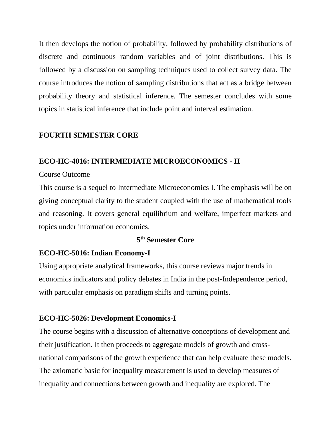It then develops the notion of probability, followed by probability distributions of discrete and continuous random variables and of joint distributions. This is followed by a discussion on sampling techniques used to collect survey data. The course introduces the notion of sampling distributions that act as a bridge between probability theory and statistical inference. The semester concludes with some topics in statistical inference that include point and interval estimation.

# **FOURTH SEMESTER CORE**

# **ECO-HC-4016: INTERMEDIATE MICROECONOMICS - II**

#### Course Outcome

This course is a sequel to Intermediate Microeconomics I. The emphasis will be on giving conceptual clarity to the student coupled with the use of mathematical tools and reasoning. It covers general equilibrium and welfare, imperfect markets and topics under information economics.

#### **5 th Semester Core**

# **ECO-HC-5016: Indian Economy-I**

Using appropriate analytical frameworks, this course reviews major trends in economics indicators and policy debates in India in the post-Independence period, with particular emphasis on paradigm shifts and turning points.

# **ECO-HC-5026: Development Economics-I**

The course begins with a discussion of alternative conceptions of development and their justification. It then proceeds to aggregate models of growth and crossnational comparisons of the growth experience that can help evaluate these models. The axiomatic basic for inequality measurement is used to develop measures of inequality and connections between growth and inequality are explored. The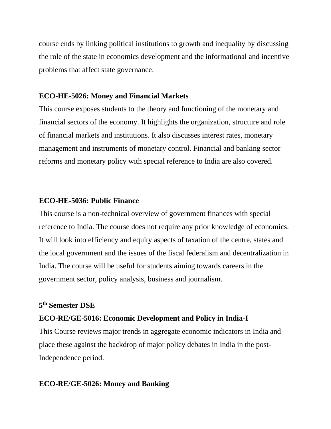course ends by linking political institutions to growth and inequality by discussing the role of the state in economics development and the informational and incentive problems that affect state governance.

#### **ECO-HE-5026: Money and Financial Markets**

This course exposes students to the theory and functioning of the monetary and financial sectors of the economy. It highlights the organization, structure and role of financial markets and institutions. It also discusses interest rates, monetary management and instruments of monetary control. Financial and banking sector reforms and monetary policy with special reference to India are also covered.

#### **ECO-HE-5036: Public Finance**

This course is a non-technical overview of government finances with special reference to India. The course does not require any prior knowledge of economics. It will look into efficiency and equity aspects of taxation of the centre, states and the local government and the issues of the fiscal federalism and decentralization in India. The course will be useful for students aiming towards careers in the government sector, policy analysis, business and journalism.

#### **5 th Semester DSE**

#### **ECO-RE/GE-5016: Economic Development and Policy in India-I**

This Course reviews major trends in aggregate economic indicators in India and place these against the backdrop of major policy debates in India in the post-Independence period.

#### **ECO-RE/GE-5026: Money and Banking**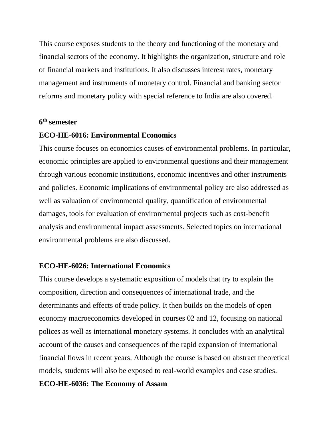This course exposes students to the theory and functioning of the monetary and financial sectors of the economy. It highlights the organization, structure and role of financial markets and institutions. It also discusses interest rates, monetary management and instruments of monetary control. Financial and banking sector reforms and monetary policy with special reference to India are also covered.

#### **6 th semester**

#### **ECO-HE-6016: Environmental Economics**

This course focuses on economics causes of environmental problems. In particular, economic principles are applied to environmental questions and their management through various economic institutions, economic incentives and other instruments and policies. Economic implications of environmental policy are also addressed as well as valuation of environmental quality, quantification of environmental damages, tools for evaluation of environmental projects such as cost-benefit analysis and environmental impact assessments. Selected topics on international environmental problems are also discussed.

#### **ECO-HE-6026: International Economics**

This course develops a systematic exposition of models that try to explain the composition, direction and consequences of international trade, and the determinants and effects of trade policy. It then builds on the models of open economy macroeconomics developed in courses 02 and 12, focusing on national polices as well as international monetary systems. It concludes with an analytical account of the causes and consequences of the rapid expansion of international financial flows in recent years. Although the course is based on abstract theoretical models, students will also be exposed to real-world examples and case studies.

#### **ECO-HE-6036: The Economy of Assam**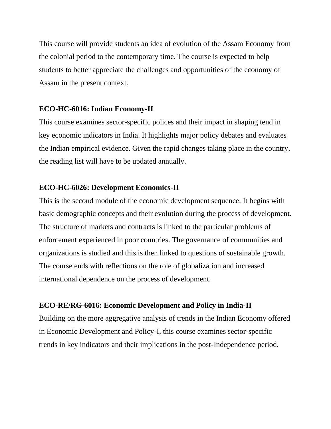This course will provide students an idea of evolution of the Assam Economy from the colonial period to the contemporary time. The course is expected to help students to better appreciate the challenges and opportunities of the economy of Assam in the present context.

#### **ECO-HC-6016: Indian Economy-II**

This course examines sector-specific polices and their impact in shaping tend in key economic indicators in India. It highlights major policy debates and evaluates the Indian empirical evidence. Given the rapid changes taking place in the country, the reading list will have to be updated annually.

# **ECO-HC-6026: Development Economics-II**

This is the second module of the economic development sequence. It begins with basic demographic concepts and their evolution during the process of development. The structure of markets and contracts is linked to the particular problems of enforcement experienced in poor countries. The governance of communities and organizations is studied and this is then linked to questions of sustainable growth. The course ends with reflections on the role of globalization and increased international dependence on the process of development.

# **ECO-RE/RG-6016: Economic Development and Policy in India-II**

Building on the more aggregative analysis of trends in the Indian Economy offered in Economic Development and Policy-I, this course examines sector-specific trends in key indicators and their implications in the post-Independence period.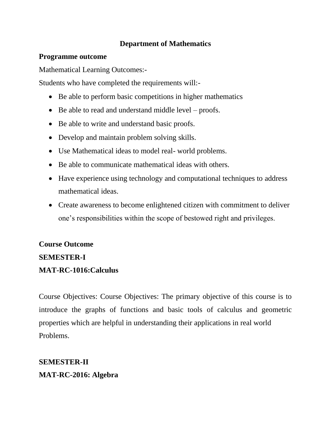# **Department of Mathematics**

#### **Programme outcome**

Mathematical Learning Outcomes:-

Students who have completed the requirements will:-

- Be able to perform basic competitions in higher mathematics
- Be able to read and understand middle level proofs.
- Be able to write and understand basic proofs.
- Develop and maintain problem solving skills.
- Use Mathematical ideas to model real- world problems.
- Be able to communicate mathematical ideas with others.
- Have experience using technology and computational techniques to address mathematical ideas.
- Create awareness to become enlightened citizen with commitment to deliver one's responsibilities within the scope of bestowed right and privileges.

# **Course Outcome SEMESTER-I**

# **MAT-RC-1016:Calculus**

Course Objectives: Course Objectives: The primary objective of this course is to introduce the graphs of functions and basic tools of calculus and geometric properties which are helpful in understanding their applications in real world Problems.

**SEMESTER-II MAT-RC-2016: Algebra**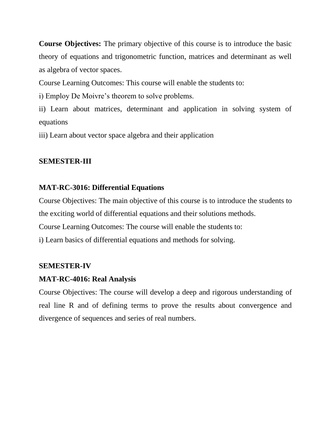**Course Objectives:** The primary objective of this course is to introduce the basic theory of equations and trigonometric function, matrices and determinant as well as algebra of vector spaces.

Course Learning Outcomes: This course will enable the students to:

i) Employ De Moivre's theorem to solve problems.

ii) Learn about matrices, determinant and application in solving system of equations

iii) Learn about vector space algebra and their application

# **SEMESTER-III**

# **MAT-RC-3016: Differential Equations**

Course Objectives: The main objective of this course is to introduce the students to the exciting world of differential equations and their solutions methods. Course Learning Outcomes: The course will enable the students to: i) Learn basics of differential equations and methods for solving.

# **SEMESTER-IV**

# **MAT-RC-4016: Real Analysis**

Course Objectives: The course will develop a deep and rigorous understanding of real line R and of defining terms to prove the results about convergence and divergence of sequences and series of real numbers.